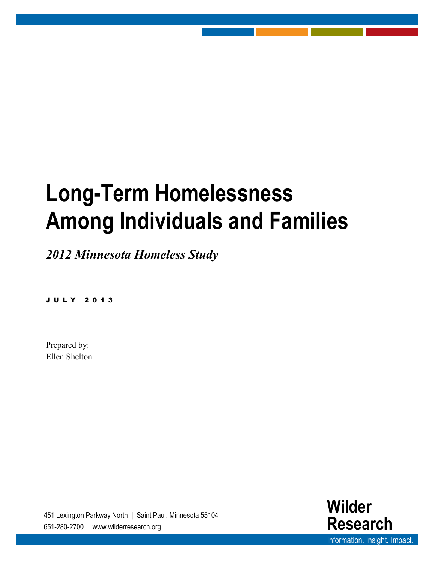# **Long-Term Homelessness Among Individuals and Families**

*2012 Minnesota Homeless Study*

JULY 201 3

Prepared by: Ellen Shelton

451 Lexington Parkway North | Saint Paul, Minnesota 55104 651-280-2700 | www.wilderresearch.org

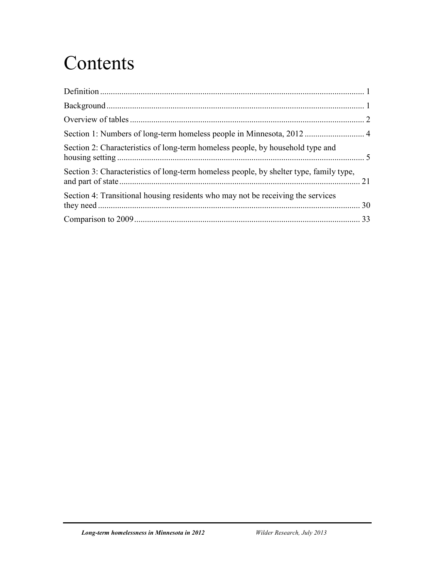## **Contents**

| Section 2: Characteristics of long-term homeless people, by household type and         |  |
|----------------------------------------------------------------------------------------|--|
| Section 3: Characteristics of long-term homeless people, by shelter type, family type, |  |
| Section 4: Transitional housing residents who may not be receiving the services        |  |
|                                                                                        |  |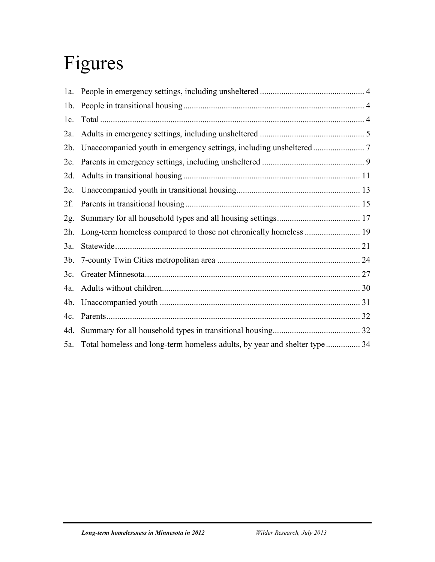## Figures

| 1b.    |  |
|--------|--|
| 1c.    |  |
| $2a$ . |  |
| $2b$ . |  |
|        |  |
| 2d.    |  |
| 2e.    |  |
| 2f.    |  |
| 2g.    |  |
| 2h.    |  |
| 3a.    |  |
| $3b$ . |  |
| 3c.    |  |
| 4a.    |  |
| 4b.    |  |
| 4c.    |  |
| 4d.    |  |
| 5a.    |  |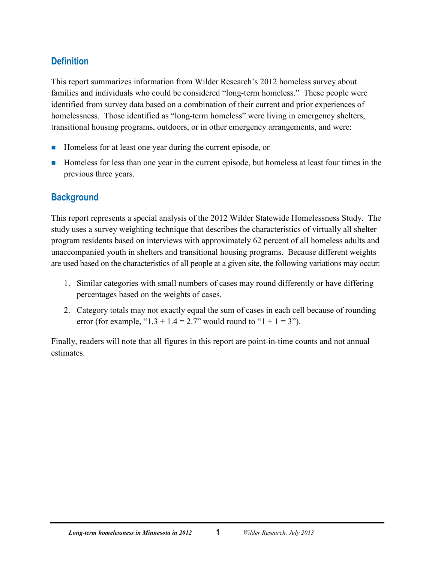## <span id="page-3-0"></span>**Definition**

This report summarizes information from Wilder Research's 2012 homeless survey about families and individuals who could be considered "long-term homeless." These people were identified from survey data based on a combination of their current and prior experiences of homelessness. Those identified as "long-term homeless" were living in emergency shelters, transitional housing programs, outdoors, or in other emergency arrangements, and were:

- Homeless for at least one year during the current episode, or
- Homeless for less than one year in the current episode, but homeless at least four times in the previous three years.

## <span id="page-3-1"></span>**Background**

This report represents a special analysis of the 2012 Wilder Statewide Homelessness Study. The study uses a survey weighting technique that describes the characteristics of virtually all shelter program residents based on interviews with approximately 62 percent of all homeless adults and unaccompanied youth in shelters and transitional housing programs. Because different weights are used based on the characteristics of all people at a given site, the following variations may occur:

- 1. Similar categories with small numbers of cases may round differently or have differing percentages based on the weights of cases.
- 2. Category totals may not exactly equal the sum of cases in each cell because of rounding error (for example, "1.3 + 1.4 = 2.7" would round to "1 + 1 = 3").

Finally, readers will note that all figures in this report are point-in-time counts and not annual estimates.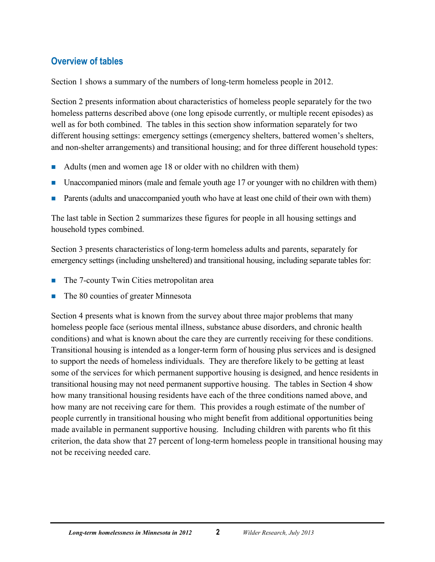## <span id="page-4-0"></span>**Overview of tables**

Section 1 shows a summary of the numbers of long-term homeless people in 2012.

Section 2 presents information about characteristics of homeless people separately for the two homeless patterns described above (one long episode currently, or multiple recent episodes) as well as for both combined. The tables in this section show information separately for two different housing settings: emergency settings (emergency shelters, battered women's shelters, and non-shelter arrangements) and transitional housing; and for three different household types:

- Adults (men and women age 18 or older with no children with them)
- Unaccompanied minors (male and female youth age 17 or younger with no children with them)
- Parents (adults and unaccompanied youth who have at least one child of their own with them)

The last table in Section 2 summarizes these figures for people in all housing settings and household types combined.

Section 3 presents characteristics of long-term homeless adults and parents, separately for emergency settings (including unsheltered) and transitional housing, including separate tables for:

- The 7-county Twin Cities metropolitan area
- The 80 counties of greater Minnesota

Section 4 presents what is known from the survey about three major problems that many homeless people face (serious mental illness, substance abuse disorders, and chronic health conditions) and what is known about the care they are currently receiving for these conditions. Transitional housing is intended as a longer-term form of housing plus services and is designed to support the needs of homeless individuals. They are therefore likely to be getting at least some of the services for which permanent supportive housing is designed, and hence residents in transitional housing may not need permanent supportive housing. The tables in Section 4 show how many transitional housing residents have each of the three conditions named above, and how many are not receiving care for them. This provides a rough estimate of the number of people currently in transitional housing who might benefit from additional opportunities being made available in permanent supportive housing. Including children with parents who fit this criterion, the data show that 27 percent of long-term homeless people in transitional housing may not be receiving needed care.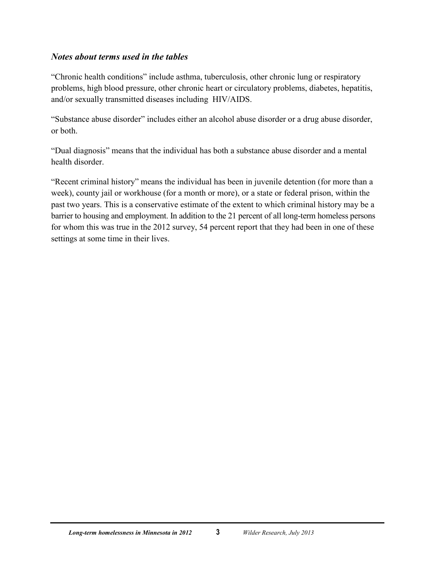#### *Notes about terms used in the tables*

"Chronic health conditions" include asthma, tuberculosis, other chronic lung or respiratory problems, high blood pressure, other chronic heart or circulatory problems, diabetes, hepatitis, and/or sexually transmitted diseases including HIV/AIDS.

"Substance abuse disorder" includes either an alcohol abuse disorder or a drug abuse disorder, or both.

"Dual diagnosis" means that the individual has both a substance abuse disorder and a mental health disorder.

"Recent criminal history" means the individual has been in juvenile detention (for more than a week), county jail or workhouse (for a month or more), or a state or federal prison, within the past two years. This is a conservative estimate of the extent to which criminal history may be a barrier to housing and employment. In addition to the 21 percent of all long-term homeless persons for whom this was true in the 2012 survey, 54 percent report that they had been in one of these settings at some time in their lives.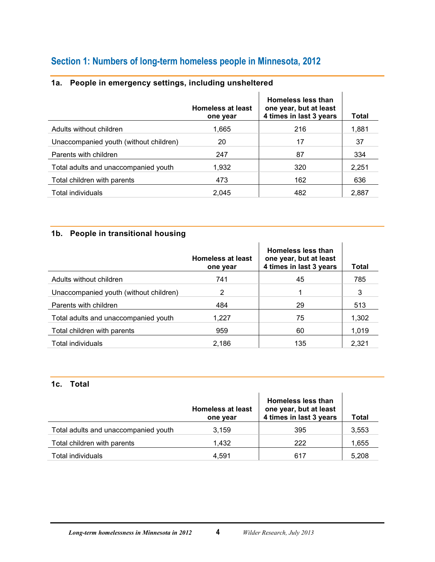## <span id="page-6-0"></span>**Section 1: Numbers of long-term homeless people in Minnesota, 2012**

|                                        | <b>Homeless at least</b><br>one year | Homeless less than<br>one year, but at least<br>4 times in last 3 years | Total |
|----------------------------------------|--------------------------------------|-------------------------------------------------------------------------|-------|
| Adults without children                | 1,665                                | 216                                                                     | 1,881 |
| Unaccompanied youth (without children) | 20                                   | 17                                                                      | 37    |
| Parents with children                  | 247                                  | 87                                                                      | 334   |
| Total adults and unaccompanied youth   | 1,932                                | 320                                                                     | 2,251 |
| Total children with parents            | 473                                  | 162                                                                     | 636   |
| Total individuals                      | 2.045                                | 482                                                                     | 2,887 |

#### <span id="page-6-1"></span>**1a. People in emergency settings, including unsheltered**

#### <span id="page-6-2"></span>**1b. People in transitional housing**

|                                        | <b>Homeless at least</b><br>one year | <b>Homeless less than</b><br>one year, but at least<br>4 times in last 3 years | <b>Total</b> |
|----------------------------------------|--------------------------------------|--------------------------------------------------------------------------------|--------------|
| Adults without children                | 741                                  | 45                                                                             | 785          |
| Unaccompanied youth (without children) | 2                                    |                                                                                | 3            |
| Parents with children                  | 484                                  | 29                                                                             | 513          |
| Total adults and unaccompanied youth   | 1.227                                | 75                                                                             | 1,302        |
| Total children with parents            | 959                                  | 60                                                                             | 1,019        |
| Total individuals                      | 2.186                                | 135                                                                            | 2,321        |

#### <span id="page-6-3"></span>**1c. Total**

|                                      | <b>Homeless at least</b><br>one year | Homeless less than<br>one year, but at least<br>4 times in last 3 years | <b>Total</b> |
|--------------------------------------|--------------------------------------|-------------------------------------------------------------------------|--------------|
| Total adults and unaccompanied youth | 3.159                                | 395                                                                     | 3,553        |
| Total children with parents          | 1.432                                | 222                                                                     | 1,655        |
| Total individuals                    | 4.591                                | 617                                                                     | 5,208        |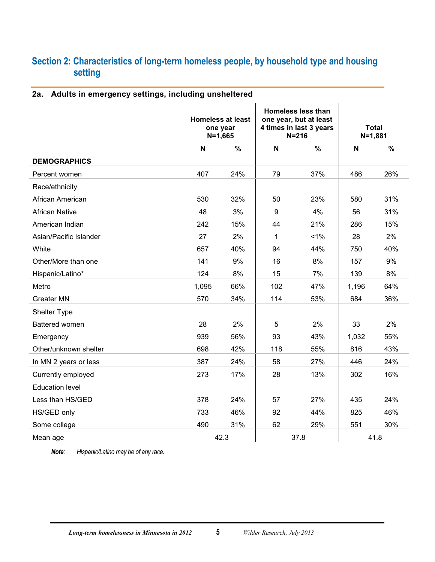## <span id="page-7-0"></span>**Section 2: Characteristics of long-term homeless people, by household type and housing setting**

#### <span id="page-7-1"></span>**2a. Adults in emergency settings, including unsheltered**

|                        | <b>Homeless at least</b><br>one year<br>$N = 1,665$ |      | <b>Homeless less than</b><br>one year, but at least<br>4 times in last 3 years<br>$N = 216$ |       | <b>Total</b><br>$N = 1,881$ |      |
|------------------------|-----------------------------------------------------|------|---------------------------------------------------------------------------------------------|-------|-----------------------------|------|
|                        | $\boldsymbol{\mathsf{N}}$                           | $\%$ | $\mathsf{N}$                                                                                | $\%$  | $\boldsymbol{\mathsf{N}}$   | $\%$ |
| <b>DEMOGRAPHICS</b>    |                                                     |      |                                                                                             |       |                             |      |
| Percent women          | 407                                                 | 24%  | 79                                                                                          | 37%   | 486                         | 26%  |
| Race/ethnicity         |                                                     |      |                                                                                             |       |                             |      |
| African American       | 530                                                 | 32%  | 50                                                                                          | 23%   | 580                         | 31%  |
| <b>African Native</b>  | 48                                                  | 3%   | $\boldsymbol{9}$                                                                            | 4%    | 56                          | 31%  |
| American Indian        | 242                                                 | 15%  | 44                                                                                          | 21%   | 286                         | 15%  |
| Asian/Pacific Islander | 27                                                  | 2%   | 1                                                                                           | $1\%$ | 28                          | 2%   |
| White                  | 657                                                 | 40%  | 94                                                                                          | 44%   | 750                         | 40%  |
| Other/More than one    | 141                                                 | 9%   | 16                                                                                          | 8%    | 157                         | 9%   |
| Hispanic/Latino*       | 124                                                 | 8%   | 15                                                                                          | 7%    | 139                         | 8%   |
| Metro                  | 1,095                                               | 66%  | 102                                                                                         | 47%   | 1,196                       | 64%  |
| <b>Greater MN</b>      | 570                                                 | 34%  | 114                                                                                         | 53%   | 684                         | 36%  |
| Shelter Type           |                                                     |      |                                                                                             |       |                             |      |
| Battered women         | 28                                                  | 2%   | 5                                                                                           | 2%    | 33                          | 2%   |
| Emergency              | 939                                                 | 56%  | 93                                                                                          | 43%   | 1,032                       | 55%  |
| Other/unknown shelter  | 698                                                 | 42%  | 118                                                                                         | 55%   | 816                         | 43%  |
| In MN 2 years or less  | 387                                                 | 24%  | 58                                                                                          | 27%   | 446                         | 24%  |
| Currently employed     | 273                                                 | 17%  | 28                                                                                          | 13%   | 302                         | 16%  |
| <b>Education level</b> |                                                     |      |                                                                                             |       |                             |      |
| Less than HS/GED       | 378                                                 | 24%  | 57                                                                                          | 27%   | 435                         | 24%  |
| HS/GED only            | 733                                                 | 46%  | 92                                                                                          | 44%   | 825                         | 46%  |
| Some college           | 490                                                 | 31%  | 62                                                                                          | 29%   | 551                         | 30%  |
| Mean age               |                                                     | 42.3 | 37.8                                                                                        |       | 41.8                        |      |

*Note: Hispanic/Latino may be of any race.*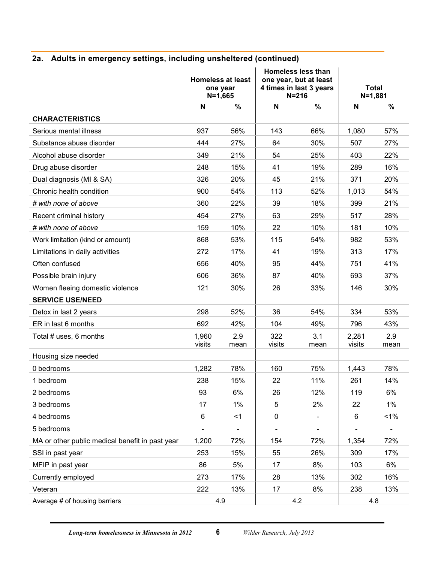## **2a. Adults in emergency settings, including unsheltered (continued)**

|                                                 | <b>Homeless at least</b><br>one year<br>$N = 1,665$ |             | <b>Homeless less than</b><br>one year, but at least<br>4 times in last 3 years<br>$N = 216$ |                | <b>Total</b><br>$N = 1,881$ |             |
|-------------------------------------------------|-----------------------------------------------------|-------------|---------------------------------------------------------------------------------------------|----------------|-----------------------------|-------------|
|                                                 | N                                                   | $\%$        | N                                                                                           | $\%$           | N                           | %           |
| <b>CHARACTERISTICS</b>                          |                                                     |             |                                                                                             |                |                             |             |
| Serious mental illness                          | 937                                                 | 56%         | 143                                                                                         | 66%            | 1,080                       | 57%         |
| Substance abuse disorder                        | 444                                                 | 27%         | 64                                                                                          | 30%            | 507                         | 27%         |
| Alcohol abuse disorder                          | 349                                                 | 21%         | 54                                                                                          | 25%            | 403                         | 22%         |
| Drug abuse disorder                             | 248                                                 | 15%         | 41                                                                                          | 19%            | 289                         | 16%         |
| Dual diagnosis (MI & SA)                        | 326                                                 | 20%         | 45                                                                                          | 21%            | 371                         | 20%         |
| Chronic health condition                        | 900                                                 | 54%         | 113                                                                                         | 52%            | 1,013                       | 54%         |
| # with none of above                            | 360                                                 | 22%         | 39                                                                                          | 18%            | 399                         | 21%         |
| Recent criminal history                         | 454                                                 | 27%         | 63                                                                                          | 29%            | 517                         | 28%         |
| # with none of above                            | 159                                                 | 10%         | 22                                                                                          | 10%            | 181                         | 10%         |
| Work limitation (kind or amount)                | 868                                                 | 53%         | 115                                                                                         | 54%            | 982                         | 53%         |
| Limitations in daily activities                 | 272                                                 | 17%         | 41                                                                                          | 19%            | 313                         | 17%         |
| Often confused                                  | 656                                                 | 40%         | 95                                                                                          | 44%            | 751                         | 41%         |
| Possible brain injury                           | 606                                                 | 36%         | 87                                                                                          | 40%            | 693                         | 37%         |
| Women fleeing domestic violence                 | 121                                                 | 30%         | 26                                                                                          | 33%            | 146                         | 30%         |
| <b>SERVICE USE/NEED</b>                         |                                                     |             |                                                                                             |                |                             |             |
| Detox in last 2 years                           | 298                                                 | 52%         | 36                                                                                          | 54%            | 334                         | 53%         |
| ER in last 6 months                             | 692                                                 | 42%         | 104                                                                                         | 49%            | 796                         | 43%         |
| Total # uses, 6 months                          | 1,960<br>visits                                     | 2.9<br>mean | 322<br>visits                                                                               | 3.1<br>mean    | 2,281<br>visits             | 2.9<br>mean |
| Housing size needed                             |                                                     |             |                                                                                             |                |                             |             |
| 0 bedrooms                                      | 1,282                                               | 78%         | 160                                                                                         | 75%            | 1,443                       | 78%         |
| 1 bedroom                                       | 238                                                 | 15%         | 22                                                                                          | 11%            | 261                         | 14%         |
| 2 bedrooms                                      | 93                                                  | 6%          | 26                                                                                          | 12%            | 119                         | 6%          |
| 3 bedrooms                                      | 17                                                  | 1%          | 5                                                                                           | 2%             | 22                          | $1\%$       |
| 4 bedrooms                                      | 6                                                   | $<$ 1       | $\mathbf 0$                                                                                 | $\blacksquare$ | 6                           | $< 1\%$     |
| 5 bedrooms                                      |                                                     |             |                                                                                             |                |                             |             |
| MA or other public medical benefit in past year | 1,200                                               | 72%         | 154                                                                                         | 72%            | 1,354                       | 72%         |
| SSI in past year                                | 253                                                 | 15%         | 55                                                                                          | 26%            | 309                         | 17%         |
| MFIP in past year                               | 86                                                  | 5%          | 17                                                                                          | 8%             | 103                         | 6%          |
| Currently employed                              | 273                                                 | 17%         | 28                                                                                          | 13%            | 302                         | 16%         |
| Veteran                                         | 222                                                 | 13%         | 17                                                                                          | 8%             | 238                         | 13%         |
| Average # of housing barriers                   | 4.9                                                 |             | 4.2                                                                                         |                | 4.8                         |             |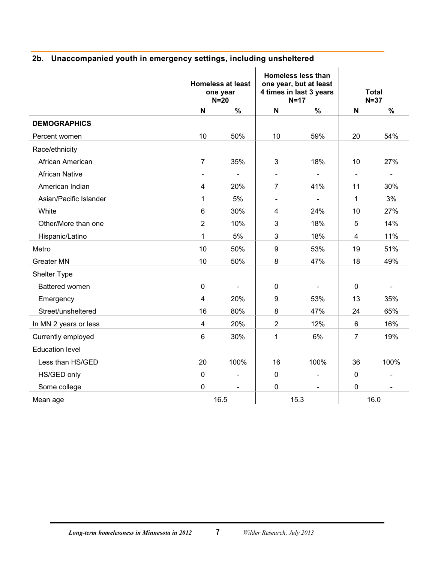|                        | <b>Homeless at least</b><br>one year<br>$N=20$ |                | <b>Homeless less than</b><br>one year, but at least<br>4 times in last 3 years<br>$N=17$ |                          | <b>Total</b><br>$N=37$ |                |
|------------------------|------------------------------------------------|----------------|------------------------------------------------------------------------------------------|--------------------------|------------------------|----------------|
|                        | N                                              | $\%$           | $\boldsymbol{\mathsf{N}}$                                                                | $\%$                     | N                      | %              |
| <b>DEMOGRAPHICS</b>    |                                                |                |                                                                                          |                          |                        |                |
| Percent women          | 10                                             | 50%            | 10                                                                                       | 59%                      | 20                     | 54%            |
| Race/ethnicity         |                                                |                |                                                                                          |                          |                        |                |
| African American       | $\overline{7}$                                 | 35%            | 3                                                                                        | 18%                      | 10                     | 27%            |
| <b>African Native</b>  |                                                |                | $\overline{\phantom{a}}$                                                                 | $\blacksquare$           | $\blacksquare$         | $\blacksquare$ |
| American Indian        | $\overline{4}$                                 | 20%            | $\overline{7}$                                                                           | 41%                      | 11                     | 30%            |
| Asian/Pacific Islander | 1                                              | 5%             | $\blacksquare$                                                                           | $\blacksquare$           | 1                      | 3%             |
| White                  | 6                                              | 30%            | 4                                                                                        | 24%                      | 10                     | 27%            |
| Other/More than one    | $\overline{2}$                                 | 10%            | 3                                                                                        | 18%                      | 5                      | 14%            |
| Hispanic/Latino        | 1                                              | $5%$           | 3                                                                                        | 18%                      | 4                      | 11%            |
| Metro                  | 10                                             | 50%            | 9                                                                                        | 53%                      | 19                     | 51%            |
| <b>Greater MN</b>      | 10                                             | 50%            | 8                                                                                        | 47%                      | 18                     | 49%            |
| Shelter Type           |                                                |                |                                                                                          |                          |                        |                |
| Battered women         | $\pmb{0}$                                      |                | $\pmb{0}$                                                                                | $\blacksquare$           | $\pmb{0}$              |                |
| Emergency              | 4                                              | 20%            | 9                                                                                        | 53%                      | 13                     | 35%            |
| Street/unsheltered     | 16                                             | 80%            | 8                                                                                        | 47%                      | 24                     | 65%            |
| In MN 2 years or less  | $\overline{4}$                                 | 20%            | $\overline{2}$                                                                           | 12%                      | $6\phantom{1}$         | 16%            |
| Currently employed     | $6\phantom{1}$                                 | 30%            | 1                                                                                        | 6%                       | 7                      | 19%            |
| <b>Education level</b> |                                                |                |                                                                                          |                          |                        |                |
| Less than HS/GED       | 20                                             | 100%           | 16                                                                                       | 100%                     | 36                     | 100%           |
| HS/GED only            | 0                                              | $\overline{a}$ | $\pmb{0}$                                                                                | $\overline{\phantom{a}}$ | 0                      |                |
| Some college           | $\mathbf 0$                                    | $\blacksquare$ | $\mathbf 0$                                                                              | $\blacksquare$           | 0                      |                |
| Mean age               |                                                | 16.5           | 15.3                                                                                     |                          | 16.0                   |                |

## <span id="page-9-0"></span>**2b. Unaccompanied youth in emergency settings, including unsheltered**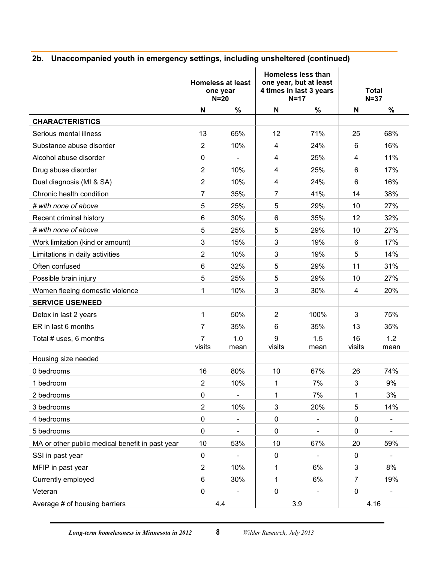## **2b. Unaccompanied youth in emergency settings, including unsheltered (continued)**

|                                                 | <b>Homeless less than</b><br>one year, but at least<br><b>Homeless at least</b><br>4 times in last 3 years<br>one year<br>$N=17$<br>$N=20$ |                              | <b>Total</b><br>$N=37$    |                          |                |                          |
|-------------------------------------------------|--------------------------------------------------------------------------------------------------------------------------------------------|------------------------------|---------------------------|--------------------------|----------------|--------------------------|
|                                                 | $\boldsymbol{\mathsf{N}}$                                                                                                                  | $\%$                         | $\boldsymbol{\mathsf{N}}$ | %                        | N              | $\%$                     |
| <b>CHARACTERISTICS</b>                          |                                                                                                                                            |                              |                           |                          |                |                          |
| Serious mental illness                          | 13                                                                                                                                         | 65%                          | 12                        | 71%                      | 25             | 68%                      |
| Substance abuse disorder                        | $\overline{2}$                                                                                                                             | 10%                          | 4                         | 24%                      | 6              | 16%                      |
| Alcohol abuse disorder                          | 0                                                                                                                                          |                              | 4                         | 25%                      | 4              | 11%                      |
| Drug abuse disorder                             | $\overline{2}$                                                                                                                             | 10%                          | 4                         | 25%                      | 6              | 17%                      |
| Dual diagnosis (MI & SA)                        | $\overline{2}$                                                                                                                             | 10%                          | 4                         | 24%                      | 6              | 16%                      |
| Chronic health condition                        | $\overline{7}$                                                                                                                             | 35%                          | 7                         | 41%                      | 14             | 38%                      |
| # with none of above                            | 5                                                                                                                                          | 25%                          | 5                         | 29%                      | 10             | 27%                      |
| Recent criminal history                         | 6                                                                                                                                          | 30%                          | 6                         | 35%                      | 12             | 32%                      |
| # with none of above                            | 5                                                                                                                                          | 25%                          | 5                         | 29%                      | 10             | 27%                      |
| Work limitation (kind or amount)                | 3                                                                                                                                          | 15%                          | 3                         | 19%                      | 6              | 17%                      |
| Limitations in daily activities                 | $\overline{2}$                                                                                                                             | 10%                          | 3                         | 19%                      | 5              | 14%                      |
| Often confused                                  | 6                                                                                                                                          | 32%                          | 5                         | 29%                      | 11             | 31%                      |
| Possible brain injury                           | 5                                                                                                                                          | 25%                          | 5                         | 29%                      | 10             | 27%                      |
| Women fleeing domestic violence                 | 1                                                                                                                                          | 10%                          | 3                         | 30%                      | 4              | 20%                      |
| <b>SERVICE USE/NEED</b>                         |                                                                                                                                            |                              |                           |                          |                |                          |
| Detox in last 2 years                           | 1                                                                                                                                          | 50%                          | $\overline{2}$            | 100%                     | 3              | 75%                      |
| ER in last 6 months                             | $\overline{7}$                                                                                                                             | 35%                          | 6                         | 35%                      | 13             | 35%                      |
| Total # uses, 6 months                          | $\overline{7}$<br>visits                                                                                                                   | 1.0<br>mean                  | 9<br>visits               | 1.5<br>mean              | 16<br>visits   | 1.2<br>mean              |
| Housing size needed                             |                                                                                                                                            |                              |                           |                          |                |                          |
| 0 bedrooms                                      | 16                                                                                                                                         | 80%                          | 10                        | 67%                      | 26             | 74%                      |
| 1 bedroom                                       | $\overline{2}$                                                                                                                             | 10%                          | 1                         | 7%                       | 3              | 9%                       |
| 2 bedrooms                                      | $\pmb{0}$                                                                                                                                  |                              | 1                         | 7%                       | 1              | 3%                       |
| 3 bedrooms                                      | $\overline{2}$                                                                                                                             | 10%                          | 3                         | 20%                      | 5              | 14%                      |
| 4 bedrooms                                      | $\pmb{0}$                                                                                                                                  | $\overline{\phantom{a}}$     | $\pmb{0}$                 | $\overline{\phantom{a}}$ | $\pmb{0}$      |                          |
| 5 bedrooms                                      | $\pmb{0}$                                                                                                                                  | $\qquad \qquad \blacksquare$ | $\pmb{0}$                 | $\blacksquare$           | $\pmb{0}$      | $\overline{\phantom{a}}$ |
| MA or other public medical benefit in past year | 10                                                                                                                                         | 53%                          | 10                        | 67%                      | 20             | 59%                      |
| SSI in past year                                | $\pmb{0}$                                                                                                                                  |                              | $\pmb{0}$                 |                          | $\pmb{0}$      |                          |
| MFIP in past year                               | $\overline{2}$                                                                                                                             | 10%                          | $\mathbf 1$               | 6%                       | 3              | 8%                       |
| Currently employed                              | $\,6$                                                                                                                                      | 30%                          | 1                         | 6%                       | $\overline{7}$ | 19%                      |
| Veteran                                         | $\pmb{0}$                                                                                                                                  |                              | $\pmb{0}$                 | $\overline{\phantom{a}}$ | $\pmb{0}$      |                          |
| Average # of housing barriers                   |                                                                                                                                            | 4.4                          | 3.9                       |                          | 4.16           |                          |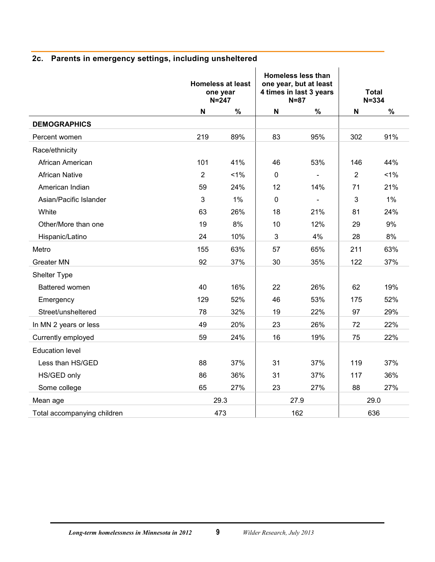|                             |                | <b>Homeless at least</b><br>one year<br>$N = 247$ |                           | <b>Homeless less than</b><br>one year, but at least<br>4 times in last 3 years<br>$N=87$ |                | <b>Total</b><br>$N = 334$ |
|-----------------------------|----------------|---------------------------------------------------|---------------------------|------------------------------------------------------------------------------------------|----------------|---------------------------|
|                             | N              | $\%$                                              | $\boldsymbol{\mathsf{N}}$ | %                                                                                        | $\mathsf{N}$   | $\%$                      |
| <b>DEMOGRAPHICS</b>         |                |                                                   |                           |                                                                                          |                |                           |
| Percent women               | 219            | 89%                                               | 83                        | 95%                                                                                      | 302            | 91%                       |
| Race/ethnicity              |                |                                                   |                           |                                                                                          |                |                           |
| African American            | 101            | 41%                                               | 46                        | 53%                                                                                      | 146            | 44%                       |
| <b>African Native</b>       | $\overline{2}$ | 1%                                                | $\mathbf 0$               |                                                                                          | $\overline{2}$ | 1%                        |
| American Indian             | 59             | 24%                                               | 12                        | 14%                                                                                      | 71             | 21%                       |
| Asian/Pacific Islander      | 3              | 1%                                                | 0                         | $\blacksquare$                                                                           | 3              | $1\%$                     |
| White                       | 63             | 26%                                               | 18                        | 21%                                                                                      | 81             | 24%                       |
| Other/More than one         | 19             | 8%                                                | 10                        | 12%                                                                                      | 29             | 9%                        |
| Hispanic/Latino             | 24             | 10%                                               | 3                         | 4%                                                                                       | 28             | 8%                        |
| Metro                       | 155            | 63%                                               | 57                        | 65%                                                                                      | 211            | 63%                       |
| <b>Greater MN</b>           | 92             | 37%                                               | 30                        | 35%                                                                                      | 122            | 37%                       |
| Shelter Type                |                |                                                   |                           |                                                                                          |                |                           |
| Battered women              | 40             | 16%                                               | 22                        | 26%                                                                                      | 62             | 19%                       |
| Emergency                   | 129            | 52%                                               | 46                        | 53%                                                                                      | 175            | 52%                       |
| Street/unsheltered          | 78             | 32%                                               | 19                        | 22%                                                                                      | 97             | 29%                       |
| In MN 2 years or less       | 49             | 20%                                               | 23                        | 26%                                                                                      | 72             | 22%                       |
| Currently employed          | 59             | 24%                                               | 16                        | 19%                                                                                      | 75             | 22%                       |
| <b>Education level</b>      |                |                                                   |                           |                                                                                          |                |                           |
| Less than HS/GED            | 88             | 37%                                               | 31                        | 37%                                                                                      | 119            | 37%                       |
| HS/GED only                 | 86             | 36%                                               | 31                        | 37%                                                                                      | 117            | 36%                       |
| Some college                | 65             | 27%                                               | 23                        | 27%                                                                                      | 88             | 27%                       |
| Mean age                    |                | 29.3                                              |                           | 27.9                                                                                     | 29.0           |                           |
| Total accompanying children |                | 473                                               | 162                       |                                                                                          | 636            |                           |

## <span id="page-11-0"></span>**2c. Parents in emergency settings, including unsheltered**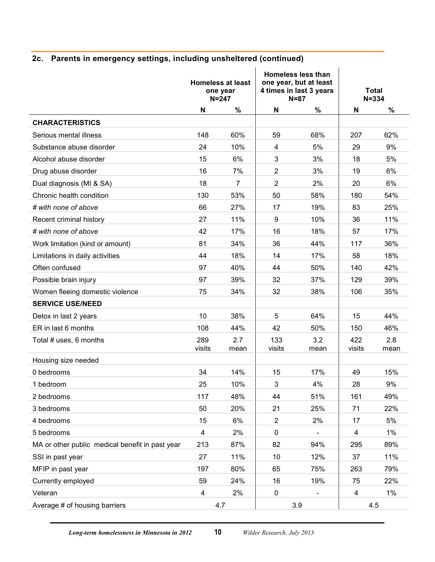## **2c. Parents in emergency settings, including unsheltered (continued)**

|                                                 | <b>Homeless at least</b><br>one year<br>$N = 247$ |                | <b>Homeless less than</b><br>one year, but at least<br>4 times in last 3 years<br>$N=87$ |                          | <b>Total</b><br>$N = 334$ |             |
|-------------------------------------------------|---------------------------------------------------|----------------|------------------------------------------------------------------------------------------|--------------------------|---------------------------|-------------|
|                                                 | N                                                 | $\%$           | $\mathsf{N}$                                                                             | $\%$                     | N                         | $\%$        |
| <b>CHARACTERISTICS</b>                          |                                                   |                |                                                                                          |                          |                           |             |
| Serious mental illness                          | 148                                               | 60%            | 59                                                                                       | 68%                      | 207                       | 62%         |
| Substance abuse disorder                        | 24                                                | 10%            | $\overline{\mathbf{4}}$                                                                  | 5%                       | 29                        | 9%          |
| Alcohol abuse disorder                          | 15                                                | 6%             | 3                                                                                        | 3%                       | 18                        | 5%          |
| Drug abuse disorder                             | 16                                                | 7%             | $\overline{2}$                                                                           | 3%                       | 19                        | 6%          |
| Dual diagnosis (MI & SA)                        | 18                                                | $\overline{7}$ | $\overline{2}$                                                                           | 2%                       | 20                        | 6%          |
| Chronic health condition                        | 130                                               | 53%            | 50                                                                                       | 58%                      | 180                       | 54%         |
| # with none of above                            | 66                                                | 27%            | 17                                                                                       | 19%                      | 83                        | 25%         |
| Recent criminal history                         | 27                                                | 11%            | 9                                                                                        | 10%                      | 36                        | 11%         |
| # with none of above                            | 42                                                | 17%            | 16                                                                                       | 18%                      | 57                        | 17%         |
| Work limitation (kind or amount)                | 81                                                | 34%            | 36                                                                                       | 44%                      | 117                       | 36%         |
| Limitations in daily activities                 | 44                                                | 18%            | 14                                                                                       | 17%                      | 58                        | 18%         |
| Often confused                                  | 97                                                | 40%            | 44                                                                                       | 50%                      | 140                       | 42%         |
| Possible brain injury                           | 97                                                | 39%            | 32                                                                                       | 37%                      | 129                       | 39%         |
| Women fleeing domestic violence                 | 75                                                | 34%            | 32                                                                                       | 38%                      | 106                       | 35%         |
| <b>SERVICE USE/NEED</b>                         |                                                   |                |                                                                                          |                          |                           |             |
| Detox in last 2 years                           | 10                                                | 38%            | 5                                                                                        | 64%                      | 15                        | 44%         |
| ER in last 6 months                             | 108                                               | 44%            | 42                                                                                       | 50%                      | 150                       | 46%         |
| Total # uses, 6 months                          | 289<br>visits                                     | 2.7<br>mean    | 133<br>visits                                                                            | 3.2<br>mean              | 422<br>visits             | 2.8<br>mean |
| Housing size needed                             |                                                   |                |                                                                                          |                          |                           |             |
| 0 bedrooms                                      | 34                                                | 14%            | 15                                                                                       | 17%                      | 49                        | 15%         |
| 1 bedroom                                       | 25                                                | 10%            | 3                                                                                        | 4%                       | 28                        | 9%          |
| 2 bedrooms                                      | 117                                               | 48%            | 44                                                                                       | 51%                      | 161                       | 49%         |
| 3 bedrooms                                      | 50                                                | 20%            | 21                                                                                       | 25%                      | 71                        | 22%         |
| 4 bedrooms                                      | 15                                                | 6%             | $\overline{2}$                                                                           | 2%                       | 17                        | 5%          |
| 5 bedrooms                                      | $\overline{4}$                                    | 2%             | $\mathbf 0$                                                                              | $\overline{\phantom{a}}$ | 4                         | $1\%$       |
| MA or other public medical benefit in past year | 213                                               | 87%            | 82                                                                                       | 94%                      | 295                       | 89%         |
| SSI in past year                                | 27                                                | 11%            | 10                                                                                       | 12%                      | 37                        | 11%         |
| MFIP in past year                               | 197                                               | 80%            | 65                                                                                       | 75%                      | 263                       | 79%         |
| Currently employed                              | 59                                                | 24%            | 16                                                                                       | 19%                      | 75                        | 22%         |
| Veteran                                         | 4                                                 | 2%             | $\pmb{0}$                                                                                |                          | 4                         | $1\%$       |
| Average # of housing barriers                   |                                                   | 4.7            | 3.9                                                                                      |                          | 4.5                       |             |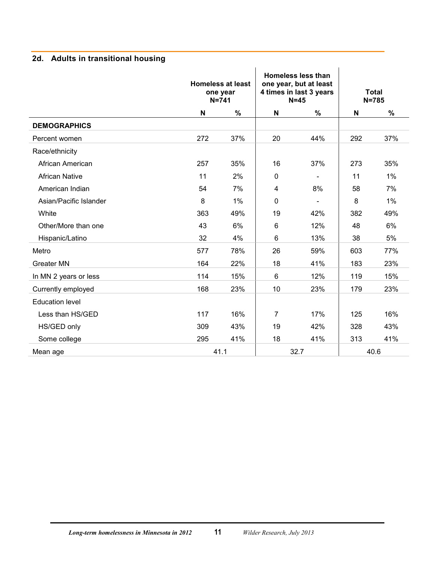## <span id="page-13-0"></span>**2d. Adults in transitional housing**

|                        | <b>Homeless at least</b><br>one year<br>$N = 741$ |      | <b>Homeless less than</b><br>one year, but at least<br>4 times in last 3 years<br>$N=45$ |      | <b>Total</b><br>$N = 785$ |       |
|------------------------|---------------------------------------------------|------|------------------------------------------------------------------------------------------|------|---------------------------|-------|
|                        | N                                                 | $\%$ | N                                                                                        | $\%$ | N                         | $\%$  |
| <b>DEMOGRAPHICS</b>    |                                                   |      |                                                                                          |      |                           |       |
| Percent women          | 272                                               | 37%  | 20                                                                                       | 44%  | 292                       | 37%   |
| Race/ethnicity         |                                                   |      |                                                                                          |      |                           |       |
| African American       | 257                                               | 35%  | 16                                                                                       | 37%  | 273                       | 35%   |
| <b>African Native</b>  | 11                                                | 2%   | $\mathbf 0$                                                                              |      | 11                        | 1%    |
| American Indian        | 54                                                | 7%   | 4                                                                                        | 8%   | 58                        | 7%    |
| Asian/Pacific Islander | 8                                                 | 1%   | $\mathbf 0$                                                                              |      | 8                         | $1\%$ |
| White                  | 363                                               | 49%  | 19                                                                                       | 42%  | 382                       | 49%   |
| Other/More than one    | 43                                                | 6%   | 6                                                                                        | 12%  | 48                        | 6%    |
| Hispanic/Latino        | 32                                                | 4%   | $6\phantom{1}$                                                                           | 13%  | 38                        | 5%    |
| Metro                  | 577                                               | 78%  | 26                                                                                       | 59%  | 603                       | 77%   |
| <b>Greater MN</b>      | 164                                               | 22%  | 18                                                                                       | 41%  | 183                       | 23%   |
| In MN 2 years or less  | 114                                               | 15%  | $6\phantom{1}$                                                                           | 12%  | 119                       | 15%   |
| Currently employed     | 168                                               | 23%  | 10                                                                                       | 23%  | 179                       | 23%   |
| <b>Education level</b> |                                                   |      |                                                                                          |      |                           |       |
| Less than HS/GED       | 117                                               | 16%  | 7                                                                                        | 17%  | 125                       | 16%   |
| HS/GED only            | 309                                               | 43%  | 19                                                                                       | 42%  | 328                       | 43%   |
| Some college           | 295                                               | 41%  | 18                                                                                       | 41%  | 313                       | 41%   |
| Mean age               |                                                   | 41.1 | 32.7                                                                                     |      | 40.6                      |       |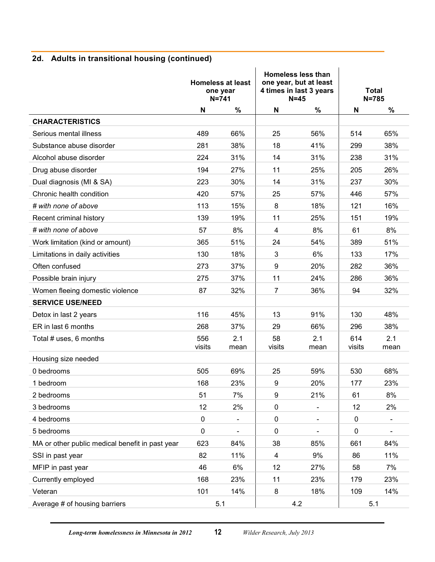## **2d. Adults in transitional housing (continued)**

|                                                 | $N = 741$     | <b>Homeless at least</b><br>one year |                         | <b>Homeless less than</b><br>one year, but at least<br>4 times in last 3 years<br>$N=45$ |               | <b>Total</b><br>$N = 785$ |
|-------------------------------------------------|---------------|--------------------------------------|-------------------------|------------------------------------------------------------------------------------------|---------------|---------------------------|
|                                                 | N             | $\%$                                 | N                       | %                                                                                        | N             | %                         |
| <b>CHARACTERISTICS</b>                          |               |                                      |                         |                                                                                          |               |                           |
| Serious mental illness                          | 489           | 66%                                  | 25                      | 56%                                                                                      | 514           | 65%                       |
| Substance abuse disorder                        | 281           | 38%                                  | 18                      | 41%                                                                                      | 299           | 38%                       |
| Alcohol abuse disorder                          | 224           | 31%                                  | 14                      | 31%                                                                                      | 238           | 31%                       |
| Drug abuse disorder                             | 194           | 27%                                  | 11                      | 25%                                                                                      | 205           | 26%                       |
| Dual diagnosis (MI & SA)                        | 223           | 30%                                  | 14                      | 31%                                                                                      | 237           | 30%                       |
| Chronic health condition                        | 420           | 57%                                  | 25                      | 57%                                                                                      | 446           | 57%                       |
| # with none of above                            | 113           | 15%                                  | 8                       | 18%                                                                                      | 121           | 16%                       |
| Recent criminal history                         | 139           | 19%                                  | 11                      | 25%                                                                                      | 151           | 19%                       |
| # with none of above                            | 57            | 8%                                   | $\overline{4}$          | 8%                                                                                       | 61            | 8%                        |
| Work limitation (kind or amount)                | 365           | 51%                                  | 24                      | 54%                                                                                      | 389           | 51%                       |
| Limitations in daily activities                 | 130           | 18%                                  | 3                       | 6%                                                                                       | 133           | 17%                       |
| Often confused                                  | 273           | 37%                                  | 9                       | 20%                                                                                      | 282           | 36%                       |
| Possible brain injury                           | 275           | 37%                                  | 11                      | 24%                                                                                      | 286           | 36%                       |
| Women fleeing domestic violence                 | 87            | 32%                                  | $\overline{7}$          | 36%                                                                                      | 94            | 32%                       |
| <b>SERVICE USE/NEED</b>                         |               |                                      |                         |                                                                                          |               |                           |
| Detox in last 2 years                           | 116           | 45%                                  | 13                      | 91%                                                                                      | 130           | 48%                       |
| ER in last 6 months                             | 268           | 37%                                  | 29                      | 66%                                                                                      | 296           | 38%                       |
| Total # uses, 6 months                          | 556<br>visits | 2.1<br>mean                          | 58<br>visits            | 2.1<br>mean                                                                              | 614<br>visits | 2.1<br>mean               |
| Housing size needed                             |               |                                      |                         |                                                                                          |               |                           |
| 0 bedrooms                                      | 505           | 69%                                  | 25                      | 59%                                                                                      | 530           | 68%                       |
| 1 bedroom                                       | 168           | 23%                                  | 9                       | 20%                                                                                      | 177           | 23%                       |
| 2 bedrooms                                      | 51            | 7%                                   | 9                       | 21%                                                                                      | 61            | 8%                        |
| 3 bedrooms                                      | 12            | 2%                                   | $\pmb{0}$               | $\overline{\phantom{0}}$                                                                 | 12            | 2%                        |
| 4 bedrooms                                      | 0             | $\qquad \qquad \blacksquare$         | $\mathbf 0$             | $\blacksquare$                                                                           | $\pmb{0}$     | $\blacksquare$            |
| 5 bedrooms                                      | $\pmb{0}$     |                                      | 0                       |                                                                                          | 0             |                           |
| MA or other public medical benefit in past year | 623           | 84%                                  | 38                      | 85%                                                                                      | 661           | 84%                       |
| SSI in past year                                | 82            | 11%                                  | $\overline{\mathbf{4}}$ | 9%                                                                                       | 86            | 11%                       |
| MFIP in past year                               | 46            | 6%                                   | 12                      | 27%                                                                                      | 58            | 7%                        |
| Currently employed                              | 168           | 23%                                  | 11                      | 23%                                                                                      | 179           | 23%                       |
| Veteran                                         | 101           | 14%                                  | 8                       | 18%                                                                                      | 109           | 14%                       |
| Average # of housing barriers                   |               | 5.1                                  |                         | 4.2                                                                                      |               | 5.1                       |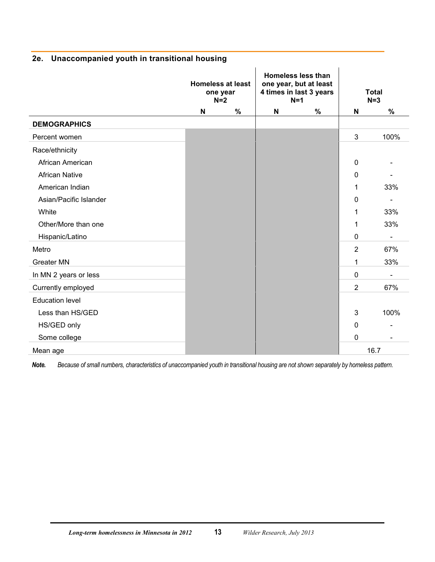|                        | <b>Homeless at least</b><br>one year<br>$N=2$ |   | <b>Homeless less than</b><br>one year, but at least<br>4 times in last 3 years<br>$N=1$ |      |                | <b>Total</b><br>$N=3$ |
|------------------------|-----------------------------------------------|---|-----------------------------------------------------------------------------------------|------|----------------|-----------------------|
|                        | N                                             | % | N                                                                                       | $\%$ | N              | $\%$                  |
| <b>DEMOGRAPHICS</b>    |                                               |   |                                                                                         |      |                |                       |
| Percent women          |                                               |   |                                                                                         |      | $\mathfrak{B}$ | 100%                  |
| Race/ethnicity         |                                               |   |                                                                                         |      |                |                       |
| African American       |                                               |   |                                                                                         |      | 0              |                       |
| <b>African Native</b>  |                                               |   |                                                                                         |      | 0              |                       |
| American Indian        |                                               |   |                                                                                         |      | 1              | 33%                   |
| Asian/Pacific Islander |                                               |   |                                                                                         |      | 0              |                       |
| White                  |                                               |   |                                                                                         |      | 1              | 33%                   |
| Other/More than one    |                                               |   |                                                                                         |      | 1              | 33%                   |
| Hispanic/Latino        |                                               |   |                                                                                         |      | 0              |                       |
| Metro                  |                                               |   |                                                                                         |      | $\overline{2}$ | 67%                   |
| <b>Greater MN</b>      |                                               |   |                                                                                         |      | 1              | 33%                   |
| In MN 2 years or less  |                                               |   |                                                                                         |      | $\mathbf 0$    |                       |
| Currently employed     |                                               |   |                                                                                         |      | $\overline{2}$ | 67%                   |
| <b>Education level</b> |                                               |   |                                                                                         |      |                |                       |
| Less than HS/GED       |                                               |   |                                                                                         |      | 3              | 100%                  |
| HS/GED only            |                                               |   |                                                                                         |      | $\mathbf 0$    |                       |
| Some college           |                                               |   |                                                                                         |      | 0              |                       |
| Mean age               |                                               |   |                                                                                         |      |                | 16.7                  |

#### <span id="page-15-0"></span>**2e. Unaccompanied youth in transitional housing**

*Note. Because of small numbers, characteristics of unaccompanied youth in transitional housing are not shown separately by homeless pattern.*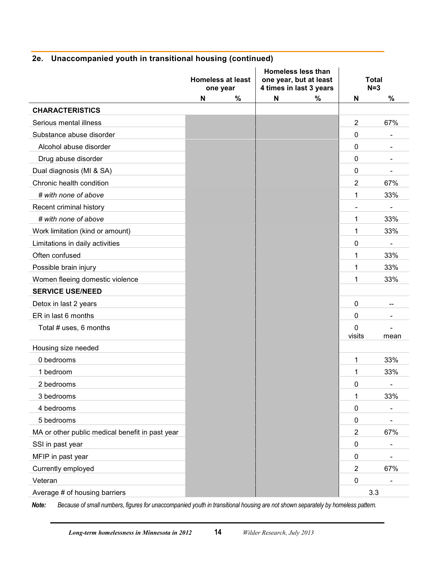|  | 2e. Unaccompanied youth in transitional housing (continued) |  |  |  |  |
|--|-------------------------------------------------------------|--|--|--|--|
|--|-------------------------------------------------------------|--|--|--|--|

|                                                 | <b>Homeless at least</b> | <b>Homeless less than</b><br>one year, but at least |                  | <b>Total</b> |
|-------------------------------------------------|--------------------------|-----------------------------------------------------|------------------|--------------|
|                                                 | one year                 | 4 times in last 3 years                             |                  | $N=3$        |
|                                                 | %<br>N                   | %<br>N                                              | N                | $\%$         |
| <b>CHARACTERISTICS</b>                          |                          |                                                     |                  |              |
| Serious mental illness                          |                          |                                                     | $\overline{2}$   | 67%          |
| Substance abuse disorder                        |                          |                                                     | 0                |              |
| Alcohol abuse disorder                          |                          |                                                     | 0                |              |
| Drug abuse disorder                             |                          |                                                     | 0                |              |
| Dual diagnosis (MI & SA)                        |                          |                                                     | 0                |              |
| Chronic health condition                        |                          |                                                     | $\overline{2}$   | 67%          |
| # with none of above                            |                          |                                                     | 1                | 33%          |
| Recent criminal history                         |                          |                                                     |                  |              |
| # with none of above                            |                          |                                                     | 1                | 33%          |
| Work limitation (kind or amount)                |                          |                                                     | 1                | 33%          |
| Limitations in daily activities                 |                          |                                                     | 0                |              |
| Often confused                                  |                          |                                                     | 1                | 33%          |
| Possible brain injury                           |                          |                                                     | 1                | 33%          |
| Women fleeing domestic violence                 |                          |                                                     | 1                | 33%          |
| <b>SERVICE USE/NEED</b>                         |                          |                                                     |                  |              |
| Detox in last 2 years                           |                          |                                                     | $\mathbf 0$      |              |
| ER in last 6 months                             |                          |                                                     | 0                |              |
| Total # uses, 6 months                          |                          |                                                     | 0<br>visits      | mean         |
| Housing size needed                             |                          |                                                     |                  |              |
| 0 bedrooms                                      |                          |                                                     | 1                | 33%          |
| 1 bedroom                                       |                          |                                                     | 1                | 33%          |
| 2 bedrooms                                      |                          |                                                     | 0                |              |
| 3 bedrooms                                      |                          |                                                     | 1                | 33%          |
| 4 bedrooms                                      |                          |                                                     | 0                |              |
| 5 bedrooms                                      |                          |                                                     | 0                |              |
| MA or other public medical benefit in past year |                          |                                                     | $\overline{2}$   | 67%          |
| SSI in past year                                |                          |                                                     | 0                |              |
| MFIP in past year                               |                          |                                                     | $\mathbf 0$      |              |
| Currently employed                              |                          |                                                     | 2                | 67%          |
| Veteran                                         |                          |                                                     | $\boldsymbol{0}$ |              |
| Average # of housing barriers                   |                          |                                                     |                  | 3.3          |

*Note: Because of small numbers, figures for unaccompanied youth in transitional housing are not shown separately by homeless pattern.*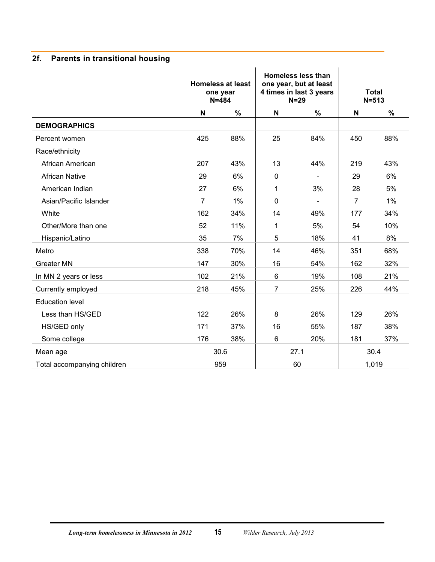## <span id="page-17-0"></span>**2f. Parents in transitional housing**

|                             |                | <b>Homeless at least</b><br>one year<br>$N = 484$ |                | Homeless less than<br>one year, but at least<br>4 times in last 3 years<br>$N=29$ |                | <b>Total</b><br>$N = 513$ |
|-----------------------------|----------------|---------------------------------------------------|----------------|-----------------------------------------------------------------------------------|----------------|---------------------------|
|                             | N              | $\%$                                              | N              | %                                                                                 | N              | %                         |
| <b>DEMOGRAPHICS</b>         |                |                                                   |                |                                                                                   |                |                           |
| Percent women               | 425            | 88%                                               | 25             | 84%                                                                               | 450            | 88%                       |
| Race/ethnicity              |                |                                                   |                |                                                                                   |                |                           |
| African American            | 207            | 43%                                               | 13             | 44%                                                                               | 219            | 43%                       |
| <b>African Native</b>       | 29             | 6%                                                | $\mathbf 0$    | $\blacksquare$                                                                    | 29             | 6%                        |
| American Indian             | 27             | 6%                                                | 1              | 3%                                                                                | 28             | 5%                        |
| Asian/Pacific Islander      | $\overline{7}$ | 1%                                                | $\mathbf 0$    | $\blacksquare$                                                                    | $\overline{7}$ | $1\%$                     |
| White                       | 162            | 34%                                               | 14             | 49%                                                                               | 177            | 34%                       |
| Other/More than one         | 52             | 11%                                               | 1              | 5%                                                                                | 54             | 10%                       |
| Hispanic/Latino             | 35             | 7%                                                | 5              | 18%                                                                               | 41             | 8%                        |
| Metro                       | 338            | 70%                                               | 14             | 46%                                                                               | 351            | 68%                       |
| Greater MN                  | 147            | 30%                                               | 16             | 54%                                                                               | 162            | 32%                       |
| In MN 2 years or less       | 102            | 21%                                               | $6\phantom{1}$ | 19%                                                                               | 108            | 21%                       |
| Currently employed          | 218            | 45%                                               | 7              | 25%                                                                               | 226            | 44%                       |
| <b>Education level</b>      |                |                                                   |                |                                                                                   |                |                           |
| Less than HS/GED            | 122            | 26%                                               | 8              | 26%                                                                               | 129            | 26%                       |
| HS/GED only                 | 171            | 37%                                               | 16             | 55%                                                                               | 187            | 38%                       |
| Some college                | 176            | 38%                                               | 6              | 20%                                                                               | 181            | 37%                       |
| Mean age                    |                | 30.6                                              |                | 27.1                                                                              |                | 30.4                      |
| Total accompanying children |                | 959                                               |                | 60                                                                                |                | 1,019                     |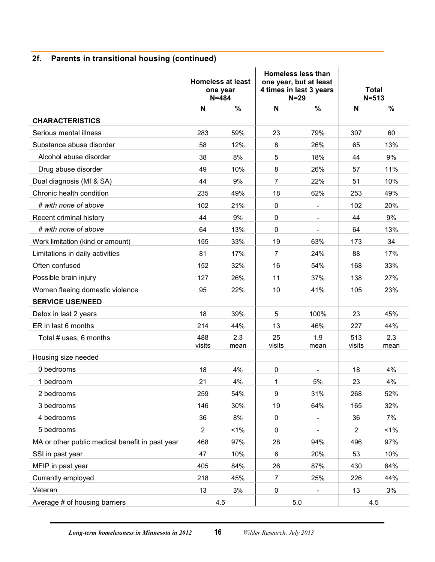## **2f. Parents in transitional housing (continued)**

|                                                 |                | <b>Homeless at least</b><br>one year<br>$N = 484$ |                | <b>Homeless less than</b><br>one year, but at least<br>4 times in last 3 years<br>$N = 29$ |                | <b>Total</b><br>$N = 513$ |
|-------------------------------------------------|----------------|---------------------------------------------------|----------------|--------------------------------------------------------------------------------------------|----------------|---------------------------|
|                                                 | N              | $\%$                                              | N              | $\%$                                                                                       | N              | $\%$                      |
| <b>CHARACTERISTICS</b>                          |                |                                                   |                |                                                                                            |                |                           |
| Serious mental illness                          | 283            | 59%                                               | 23             | 79%                                                                                        | 307            | 60                        |
| Substance abuse disorder                        | 58             | 12%                                               | 8              | 26%                                                                                        | 65             | 13%                       |
| Alcohol abuse disorder                          | 38             | 8%                                                | 5              | 18%                                                                                        | 44             | 9%                        |
| Drug abuse disorder                             | 49             | 10%                                               | 8              | 26%                                                                                        | 57             | 11%                       |
| Dual diagnosis (MI & SA)                        | 44             | 9%                                                | $\overline{7}$ | 22%                                                                                        | 51             | 10%                       |
| Chronic health condition                        | 235            | 49%                                               | 18             | 62%                                                                                        | 253            | 49%                       |
| # with none of above                            | 102            | 21%                                               | 0              |                                                                                            | 102            | 20%                       |
| Recent criminal history                         | 44             | 9%                                                | 0              | $\overline{\phantom{0}}$                                                                   | 44             | 9%                        |
| # with none of above                            | 64             | 13%                                               | 0              |                                                                                            | 64             | 13%                       |
| Work limitation (kind or amount)                | 155            | 33%                                               | 19             | 63%                                                                                        | 173            | 34                        |
| Limitations in daily activities                 | 81             | 17%                                               | $\overline{7}$ | 24%                                                                                        | 88             | 17%                       |
| Often confused                                  | 152            | 32%                                               | 16             | 54%                                                                                        | 168            | 33%                       |
| Possible brain injury                           | 127            | 26%                                               | 11             | 37%                                                                                        | 138            | 27%                       |
| Women fleeing domestic violence                 | 95             | 22%                                               | 10             | 41%                                                                                        | 105            | 23%                       |
| <b>SERVICE USE/NEED</b>                         |                |                                                   |                |                                                                                            |                |                           |
| Detox in last 2 years                           | 18             | 39%                                               | 5              | 100%                                                                                       | 23             | 45%                       |
| ER in last 6 months                             | 214            | 44%                                               | 13             | 46%                                                                                        | 227            | 44%                       |
| Total # uses, 6 months                          | 488<br>visits  | 2.3<br>mean                                       | 25<br>visits   | 1.9<br>mean                                                                                | 513<br>visits  | 2.3<br>mean               |
| Housing size needed                             |                |                                                   |                |                                                                                            |                |                           |
| 0 bedrooms                                      | 18             | 4%                                                | 0              |                                                                                            | 18             | 4%                        |
| 1 bedroom                                       | 21             | 4%                                                | 1              | 5%                                                                                         | 23             | 4%                        |
| 2 bedrooms                                      | 259            | 54%                                               | 9              | 31%                                                                                        | 268            | 52%                       |
| 3 bedrooms                                      | 146            | 30%                                               | 19             | 64%                                                                                        | 165            | 32%                       |
| 4 bedrooms                                      | 36             | 8%                                                | 0              | $\overline{\phantom{0}}$                                                                   | 36             | 7%                        |
| 5 bedrooms                                      | $\overline{2}$ | $1\%$                                             | 0              |                                                                                            | $\overline{2}$ | $1\%$                     |
| MA or other public medical benefit in past year | 468            | 97%                                               | 28             | 94%                                                                                        | 496            | 97%                       |
| SSI in past year                                | 47             | 10%                                               | 6              | 20%                                                                                        | 53             | 10%                       |
| MFIP in past year                               | 405            | 84%                                               | 26             | 87%                                                                                        | 430            | 84%                       |
| Currently employed                              | 218            | 45%                                               | 7              | 25%                                                                                        | 226            | 44%                       |
| Veteran                                         | 13             | 3%                                                | 0              |                                                                                            | 13             | 3%                        |
| Average # of housing barriers                   |                | 4.5                                               |                | 5.0                                                                                        |                | 4.5                       |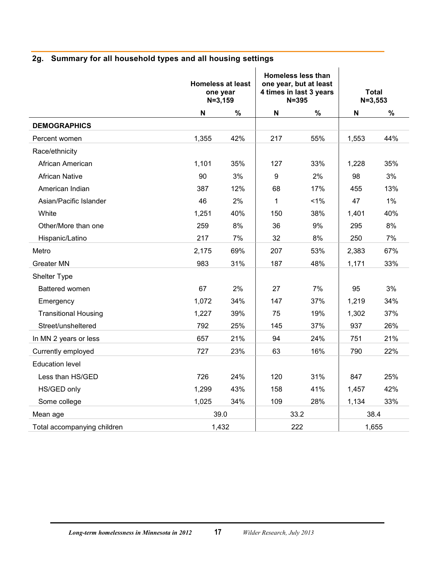<span id="page-19-0"></span>

|  |  |  |  |  | 2g. Summary for all household types and all housing settings |  |
|--|--|--|--|--|--------------------------------------------------------------|--|
|--|--|--|--|--|--------------------------------------------------------------|--|

|                             | one year<br>$N = 3, 159$ | <b>Homeless at least</b> |              | <b>Homeless less than</b><br>one year, but at least<br>4 times in last 3 years<br>$N = 395$ | $N = 3,553$ | <b>Total</b> |
|-----------------------------|--------------------------|--------------------------|--------------|---------------------------------------------------------------------------------------------|-------------|--------------|
|                             | N                        | $\%$                     | $\mathbf N$  | %                                                                                           | N           | $\%$         |
| <b>DEMOGRAPHICS</b>         |                          |                          |              |                                                                                             |             |              |
| Percent women               | 1,355                    | 42%                      | 217          | 55%                                                                                         | 1,553       | 44%          |
| Race/ethnicity              |                          |                          |              |                                                                                             |             |              |
| African American            | 1,101                    | 35%                      | 127          | 33%                                                                                         | 1,228       | 35%          |
| <b>African Native</b>       | 90                       | 3%                       | 9            | 2%                                                                                          | 98          | 3%           |
| American Indian             | 387                      | 12%                      | 68           | 17%                                                                                         | 455         | 13%          |
| Asian/Pacific Islander      | 46                       | 2%                       | $\mathbf{1}$ | 1%                                                                                          | 47          | $1\%$        |
| White                       | 1,251                    | 40%                      | 150          | 38%                                                                                         | 1,401       | 40%          |
| Other/More than one         | 259                      | 8%                       | 36           | 9%                                                                                          | 295         | 8%           |
| Hispanic/Latino             | 217                      | 7%                       | 32           | 8%                                                                                          | 250         | 7%           |
| Metro                       | 2,175                    | 69%                      | 207          | 53%                                                                                         | 2,383       | 67%          |
| <b>Greater MN</b>           | 983                      | 31%                      | 187          | 48%                                                                                         | 1,171       | 33%          |
| Shelter Type                |                          |                          |              |                                                                                             |             |              |
| Battered women              | 67                       | 2%                       | 27           | 7%                                                                                          | 95          | 3%           |
| Emergency                   | 1,072                    | 34%                      | 147          | 37%                                                                                         | 1,219       | 34%          |
| <b>Transitional Housing</b> | 1,227                    | 39%                      | 75           | 19%                                                                                         | 1,302       | 37%          |
| Street/unsheltered          | 792                      | 25%                      | 145          | 37%                                                                                         | 937         | 26%          |
| In MN 2 years or less       | 657                      | 21%                      | 94           | 24%                                                                                         | 751         | 21%          |
| Currently employed          | 727                      | 23%                      | 63           | 16%                                                                                         | 790         | 22%          |
| <b>Education level</b>      |                          |                          |              |                                                                                             |             |              |
| Less than HS/GED            | 726                      | 24%                      | 120          | 31%                                                                                         | 847         | 25%          |
| HS/GED only                 | 1,299                    | 43%                      | 158          | 41%                                                                                         | 1,457       | 42%          |
| Some college                | 1,025                    | 34%                      | 109          | 28%                                                                                         | 1,134       | 33%          |
| Mean age                    | 39.0                     |                          |              | 33.2                                                                                        | 38.4        |              |
| Total accompanying children |                          | 1,432                    |              | 222                                                                                         |             | 1,655        |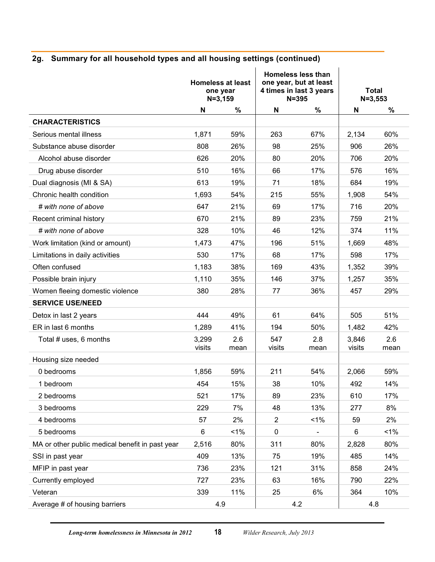## **2g. Summary for all household types and all housing settings (continued)**

|                                                 | $N = 3, 159$    | <b>Homeless at least</b><br>one year |                | <b>Homeless less than</b><br>one year, but at least<br>4 times in last 3 years<br>$N = 395$ | $N = 3,553$     | <b>Total</b> |
|-------------------------------------------------|-----------------|--------------------------------------|----------------|---------------------------------------------------------------------------------------------|-----------------|--------------|
|                                                 | N               | %                                    | N              | %                                                                                           | N               | %            |
| <b>CHARACTERISTICS</b>                          |                 |                                      |                |                                                                                             |                 |              |
| Serious mental illness                          | 1,871           | 59%                                  | 263            | 67%                                                                                         | 2,134           | 60%          |
| Substance abuse disorder                        | 808             | 26%                                  | 98             | 25%                                                                                         | 906             | 26%          |
| Alcohol abuse disorder                          | 626             | 20%                                  | 80             | 20%                                                                                         | 706             | 20%          |
| Drug abuse disorder                             | 510             | 16%                                  | 66             | 17%                                                                                         | 576             | 16%          |
| Dual diagnosis (MI & SA)                        | 613             | 19%                                  | 71             | 18%                                                                                         | 684             | 19%          |
| Chronic health condition                        | 1,693           | 54%                                  | 215            | 55%                                                                                         | 1,908           | 54%          |
| # with none of above                            | 647             | 21%                                  | 69             | 17%                                                                                         | 716             | 20%          |
| Recent criminal history                         | 670             | 21%                                  | 89             | 23%                                                                                         | 759             | 21%          |
| # with none of above                            | 328             | 10%                                  | 46             | 12%                                                                                         | 374             | 11%          |
| Work limitation (kind or amount)                | 1,473           | 47%                                  | 196            | 51%                                                                                         | 1,669           | 48%          |
| Limitations in daily activities                 | 530             | 17%                                  | 68             | 17%                                                                                         | 598             | 17%          |
| Often confused                                  | 1,183           | 38%                                  | 169            | 43%                                                                                         | 1,352           | 39%          |
| Possible brain injury                           | 1,110           | 35%                                  | 146            | 37%                                                                                         | 1,257           | 35%          |
| Women fleeing domestic violence                 | 380             | 28%                                  | 77             | 36%                                                                                         | 457             | 29%          |
| <b>SERVICE USE/NEED</b>                         |                 |                                      |                |                                                                                             |                 |              |
| Detox in last 2 years                           | 444             | 49%                                  | 61             | 64%                                                                                         | 505             | 51%          |
| ER in last 6 months                             | 1,289           | 41%                                  | 194            | 50%                                                                                         | 1,482           | 42%          |
| Total # uses, 6 months                          | 3,299<br>visits | 2.6<br>mean                          | 547<br>visits  | 2.8<br>mean                                                                                 | 3,846<br>visits | 2.6<br>mean  |
| Housing size needed                             |                 |                                      |                |                                                                                             |                 |              |
| 0 bedrooms                                      | 1,856           | 59%                                  | 211            | 54%                                                                                         | 2,066           | 59%          |
| 1 bedroom                                       | 454             | 15%                                  | 38             | 10%                                                                                         | 492             | 14%          |
| 2 bedrooms                                      | 521             | 17%                                  | 89             | 23%                                                                                         | 610             | 17%          |
| 3 bedrooms                                      | 229             | 7%                                   | 48             | 13%                                                                                         | 277             | 8%           |
| 4 bedrooms                                      | 57              | 2%                                   | $\overline{2}$ | $1\%$                                                                                       | 59              | 2%           |
| 5 bedrooms                                      | 6               | $1\%$                                | 0              | $\blacksquare$                                                                              | 6               | $1\%$        |
| MA or other public medical benefit in past year | 2,516           | 80%                                  | 311            | 80%                                                                                         | 2,828           | 80%          |
| SSI in past year                                | 409             | 13%                                  | 75             | 19%                                                                                         | 485             | 14%          |
| MFIP in past year                               | 736             | 23%                                  | 121            | 31%                                                                                         | 858             | 24%          |
| Currently employed                              | 727             | 23%                                  | 63             | 16%                                                                                         | 790             | 22%          |
| Veteran                                         | 339             | 11%                                  | 25             | 6%                                                                                          | 364             | 10%          |
| Average # of housing barriers                   | 4.9             |                                      |                | 4.2                                                                                         | 4.8             |              |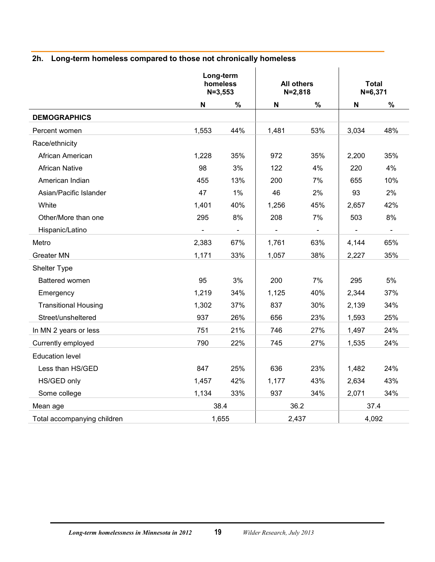#### <span id="page-21-0"></span>**2h. Long-term homeless compared to those not chronically homeless**

|                             |       | Long-term<br>homeless<br>$N = 3,553$ |                              | <b>All others</b><br>$N = 2,818$ |                | <b>Total</b><br>$N = 6,371$ |
|-----------------------------|-------|--------------------------------------|------------------------------|----------------------------------|----------------|-----------------------------|
|                             | N     | %                                    | N                            | $\%$                             | N              | %                           |
| <b>DEMOGRAPHICS</b>         |       |                                      |                              |                                  |                |                             |
| Percent women               | 1,553 | 44%                                  | 1,481                        | 53%                              | 3,034          | 48%                         |
| Race/ethnicity              |       |                                      |                              |                                  |                |                             |
| African American            | 1,228 | 35%                                  | 972                          | 35%                              | 2,200          | 35%                         |
| <b>African Native</b>       | 98    | 3%                                   | 122                          | 4%                               | 220            | 4%                          |
| American Indian             | 455   | 13%                                  | 200                          | 7%                               | 655            | 10%                         |
| Asian/Pacific Islander      | 47    | $1\%$                                | 46                           | 2%                               | 93             | 2%                          |
| White                       | 1,401 | 40%                                  | 1,256                        | 45%                              | 2,657          | 42%                         |
| Other/More than one         | 295   | 8%                                   | 208                          | 7%                               | 503            | 8%                          |
| Hispanic/Latino             |       | $\blacksquare$                       | $\qquad \qquad \blacksquare$ | $\blacksquare$                   | $\blacksquare$ | $\blacksquare$              |
| Metro                       | 2,383 | 67%                                  | 1,761                        | 63%                              | 4,144          | 65%                         |
| <b>Greater MN</b>           | 1,171 | 33%                                  | 1,057                        | 38%                              | 2,227          | 35%                         |
| Shelter Type                |       |                                      |                              |                                  |                |                             |
| Battered women              | 95    | 3%                                   | 200                          | 7%                               | 295            | 5%                          |
| Emergency                   | 1,219 | 34%                                  | 1,125                        | 40%                              | 2,344          | 37%                         |
| <b>Transitional Housing</b> | 1,302 | 37%                                  | 837                          | 30%                              | 2,139          | 34%                         |
| Street/unsheltered          | 937   | 26%                                  | 656                          | 23%                              | 1,593          | 25%                         |
| In MN 2 years or less       | 751   | 21%                                  | 746                          | 27%                              | 1,497          | 24%                         |
| Currently employed          | 790   | 22%                                  | 745                          | 27%                              | 1,535          | 24%                         |
| <b>Education level</b>      |       |                                      |                              |                                  |                |                             |
| Less than HS/GED            | 847   | 25%                                  | 636                          | 23%                              | 1,482          | 24%                         |
| HS/GED only                 | 1,457 | 42%                                  | 1,177                        | 43%                              | 2,634          | 43%                         |
| Some college                | 1,134 | 33%                                  | 937                          | 34%                              | 2,071          | 34%                         |
| Mean age                    |       | 38.4                                 |                              | 36.2                             |                | 37.4                        |
| Total accompanying children |       | 1,655                                |                              | 2,437                            |                | 4,092                       |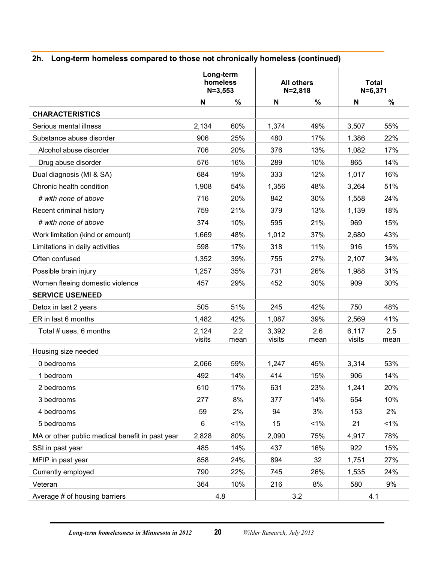#### **2h. Long-term homeless compared to those not chronically homeless (continued)**

|                                                 | $N = 3,553$     | Long-term<br>homeless | <b>All others</b> | $N = 2,818$ | $N = 6,371$     | <b>Total</b> |
|-------------------------------------------------|-----------------|-----------------------|-------------------|-------------|-----------------|--------------|
|                                                 | N               | $\%$                  | N                 | $\%$        | N               | %            |
| <b>CHARACTERISTICS</b>                          |                 |                       |                   |             |                 |              |
| Serious mental illness                          | 2,134           | 60%                   | 1,374             | 49%         | 3,507           | 55%          |
| Substance abuse disorder                        | 906             | 25%                   | 480               | 17%         | 1,386           | 22%          |
| Alcohol abuse disorder                          | 706             | 20%                   | 376               | 13%         | 1,082           | 17%          |
| Drug abuse disorder                             | 576             | 16%                   | 289               | 10%         | 865             | 14%          |
| Dual diagnosis (MI & SA)                        | 684             | 19%                   | 333               | 12%         | 1,017           | 16%          |
| Chronic health condition                        | 1,908           | 54%                   | 1,356             | 48%         | 3,264           | 51%          |
| # with none of above                            | 716             | 20%                   | 842               | 30%         | 1,558           | 24%          |
| Recent criminal history                         | 759             | 21%                   | 379               | 13%         | 1,139           | 18%          |
| # with none of above                            | 374             | 10%                   | 595               | 21%         | 969             | 15%          |
| Work limitation (kind or amount)                | 1,669           | 48%                   | 1,012             | 37%         | 2,680           | 43%          |
| Limitations in daily activities                 | 598             | 17%                   | 318               | 11%         | 916             | 15%          |
| Often confused                                  | 1,352           | 39%                   | 755               | 27%         | 2,107           | 34%          |
| Possible brain injury                           | 1,257           | 35%                   | 731               | 26%         | 1,988           | 31%          |
| Women fleeing domestic violence                 | 457             | 29%                   | 452               | 30%         | 909             | 30%          |
| <b>SERVICE USE/NEED</b>                         |                 |                       |                   |             |                 |              |
| Detox in last 2 years                           | 505             | 51%                   | 245               | 42%         | 750             | 48%          |
| ER in last 6 months                             | 1,482           | 42%                   | 1,087             | 39%         | 2,569           | 41%          |
| Total # uses, 6 months                          | 2,124<br>visits | 2.2<br>mean           | 3,392<br>visits   | 2.6<br>mean | 6,117<br>visits | 2.5<br>mean  |
| Housing size needed                             |                 |                       |                   |             |                 |              |
| 0 bedrooms                                      | 2,066           | 59%                   | 1,247             | 45%         | 3,314           | 53%          |
| 1 bedroom                                       | 492             | 14%                   | 414               | 15%         | 906             | 14%          |
| 2 bedrooms                                      | 610             | 17%                   | 631               | 23%         | 1,241           | 20%          |
| 3 bedrooms                                      | 277             | 8%                    | 377               | 14%         | 654             | 10%          |
| 4 bedrooms                                      | 59              | 2%                    | 94                | 3%          | 153             | 2%           |
| 5 bedrooms                                      | 6               | $1\%$                 | 15                | $1\%$       | 21              | $1\%$        |
| MA or other public medical benefit in past year | 2,828           | 80%                   | 2,090             | 75%         | 4,917           | 78%          |
| SSI in past year                                | 485             | 14%                   | 437               | 16%         | 922             | 15%          |
| MFIP in past year                               | 858             | 24%                   | 894               | 32          | 1,751           | 27%          |
| Currently employed                              | 790             | 22%                   | 745               | 26%         | 1,535           | 24%          |
| Veteran                                         | 364             | 10%                   | 216               | 8%          | 580             | $9\%$        |
| Average # of housing barriers                   |                 | 4.8                   |                   | 3.2         | 4.1             |              |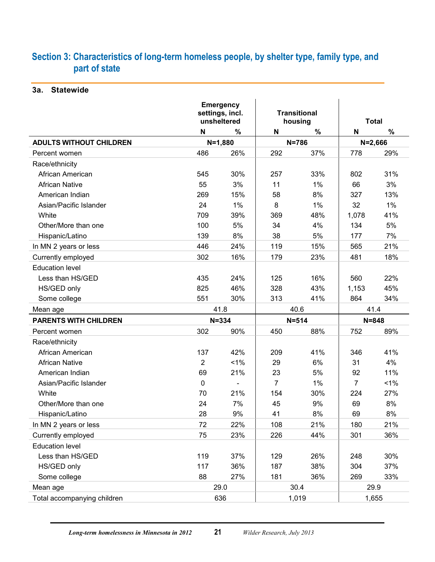## <span id="page-23-0"></span>**Section 3: Characteristics of long-term homeless people, by shelter type, family type, and part of state**

<span id="page-23-1"></span>**3a. Statewide**

|                                |                | <b>Emergency</b><br>settings, incl.<br>unsheltered |                | <b>Transitional</b><br>housing | <b>Total</b>   |             |  |
|--------------------------------|----------------|----------------------------------------------------|----------------|--------------------------------|----------------|-------------|--|
|                                | N              | $\%$                                               | N              | $\%$                           | N              | $\%$        |  |
| <b>ADULTS WITHOUT CHILDREN</b> |                | $N = 1,880$                                        |                | $N = 786$                      |                | $N = 2,666$ |  |
| Percent women                  | 486            | 26%                                                | 292            | 37%                            | 778            | 29%         |  |
| Race/ethnicity                 |                |                                                    |                |                                |                |             |  |
| African American               | 545            | 30%                                                | 257            | 33%                            | 802            | 31%         |  |
| <b>African Native</b>          | 55             | 3%                                                 | 11             | 1%                             | 66             | 3%          |  |
| American Indian                | 269            | 15%                                                | 58             | 8%                             | 327            | 13%         |  |
| Asian/Pacific Islander         | 24             | 1%                                                 | 8              | 1%                             | 32             | 1%          |  |
| White                          | 709            | 39%                                                | 369            | 48%                            | 1,078          | 41%         |  |
| Other/More than one            | 100            | 5%                                                 | 34             | 4%                             | 134            | 5%          |  |
| Hispanic/Latino                | 139            | 8%                                                 | 38             | 5%                             | 177            | 7%          |  |
| In MN 2 years or less          | 446            | 24%                                                | 119            | 15%                            | 565            | 21%         |  |
| Currently employed             | 302            | 16%                                                | 179            | 23%                            | 481            | 18%         |  |
| <b>Education level</b>         |                |                                                    |                |                                |                |             |  |
| Less than HS/GED               | 435            | 24%                                                | 125            | 16%                            | 560            | 22%         |  |
| HS/GED only                    | 825            | 46%                                                | 328            | 43%                            | 1,153          | 45%         |  |
| Some college                   | 551            | 30%                                                | 313            | 41%                            | 864            | 34%         |  |
| Mean age                       |                | 41.8                                               |                | 40.6                           | 41.4           |             |  |
| <b>PARENTS WITH CHILDREN</b>   |                | $N = 334$                                          |                | $N = 514$                      |                | $N = 848$   |  |
| Percent women                  | 302            | 90%                                                | 450            | 88%                            | 752            | 89%         |  |
| Race/ethnicity                 |                |                                                    |                |                                |                |             |  |
| African American               | 137            | 42%                                                | 209            | 41%                            | 346            | 41%         |  |
| <b>African Native</b>          | $\overline{2}$ | $1\%$                                              | 29             | 6%                             | 31             | 4%          |  |
| American Indian                | 69             | 21%                                                | 23             | 5%                             | 92             | 11%         |  |
| Asian/Pacific Islander         | 0              | $\blacksquare$                                     | $\overline{7}$ | 1%                             | $\overline{7}$ | 1%          |  |
| White                          | 70             | 21%                                                | 154            | 30%                            | 224            | 27%         |  |
| Other/More than one            | 24             | 7%                                                 | 45             | 9%                             | 69             | 8%          |  |
| Hispanic/Latino                | 28             | $9\%$                                              | 41             | 8%                             | 69             | 8%          |  |
| In MN 2 years or less          | 72             | 22%                                                | 108            | 21%                            | 180            | 21%         |  |
| Currently employed             | 75             | 23%                                                | 226            | 44%                            | 301            | 36%         |  |
| <b>Education level</b>         |                |                                                    |                |                                |                |             |  |
| Less than HS/GED               | 119            | 37%                                                | 129            | 26%                            | 248            | 30%         |  |
| HS/GED only                    | 117            | 36%                                                | 187            | 38%                            | 304            | 37%         |  |
| Some college                   | 88             | 27%                                                | 181            | 36%                            | 269            | 33%         |  |
| Mean age                       |                | 29.0                                               |                | 30.4                           | 29.9           |             |  |
| Total accompanying children    |                | 636                                                |                | 1,019                          |                | 1,655       |  |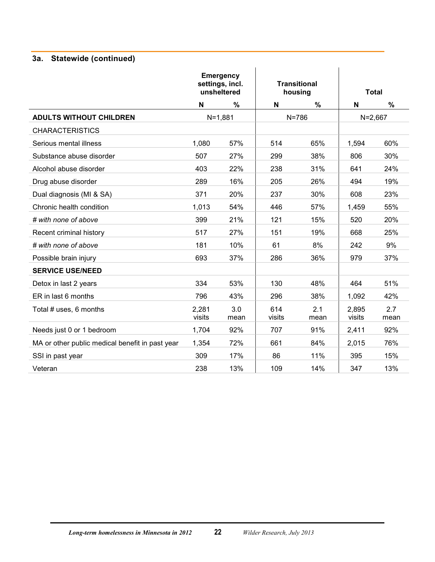## **3a. Statewide (continued)**

|                                                 | <b>Emergency</b><br>settings, incl.<br>unsheltered |               |               | <b>Transitional</b><br>housing |                 | <b>Total</b> |
|-------------------------------------------------|----------------------------------------------------|---------------|---------------|--------------------------------|-----------------|--------------|
|                                                 | N                                                  | $\frac{9}{6}$ | N             | %                              | N               | $\%$         |
| <b>ADULTS WITHOUT CHILDREN</b>                  |                                                    | $N = 1,881$   |               | $N = 786$                      | $N = 2,667$     |              |
| <b>CHARACTERISTICS</b>                          |                                                    |               |               |                                |                 |              |
| Serious mental illness                          | 1,080                                              | 57%           | 514           | 65%                            | 1,594           | 60%          |
| Substance abuse disorder                        | 507                                                | 27%           | 299           | 38%                            | 806             | 30%          |
| Alcohol abuse disorder                          | 403                                                | 22%           | 238           | 31%                            | 641             | 24%          |
| Drug abuse disorder                             | 289                                                | 16%           | 205           | 26%                            | 494             | 19%          |
| Dual diagnosis (MI & SA)                        | 371                                                | 20%           | 237           | 30%                            | 608             | 23%          |
| Chronic health condition                        | 1,013                                              | 54%           | 446           | 57%                            | 1,459           | 55%          |
| # with none of above                            | 399                                                | 21%           | 121           | 15%                            | 520             | 20%          |
| Recent criminal history                         | 517                                                | 27%           | 151           | 19%                            | 668             | 25%          |
| # with none of above                            | 181                                                | 10%           | 61            | 8%                             | 242             | 9%           |
| Possible brain injury                           | 693                                                | 37%           | 286           | 36%                            | 979             | 37%          |
| <b>SERVICE USE/NEED</b>                         |                                                    |               |               |                                |                 |              |
| Detox in last 2 years                           | 334                                                | 53%           | 130           | 48%                            | 464             | 51%          |
| ER in last 6 months                             | 796                                                | 43%           | 296           | 38%                            | 1,092           | 42%          |
| Total # uses, 6 months                          | 2,281<br>visits                                    | 3.0<br>mean   | 614<br>visits | 2.1<br>mean                    | 2,895<br>visits | 2.7<br>mean  |
| Needs just 0 or 1 bedroom                       | 1,704                                              | 92%           | 707           | 91%                            | 2,411           | 92%          |
| MA or other public medical benefit in past year | 1,354                                              | 72%           | 661           | 84%                            | 2,015           | 76%          |
| SSI in past year                                | 309                                                | 17%           | 86            | 11%                            | 395             | 15%          |
| Veteran                                         | 238                                                | 13%           | 109           | 14%                            | 347             | 13%          |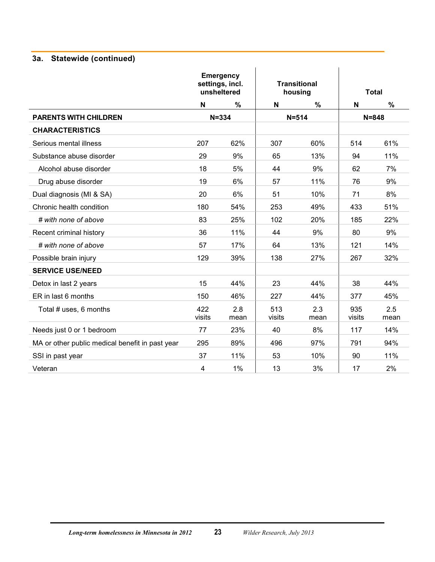## **3a. Statewide (continued)**

|                                                 | <b>Emergency</b><br>settings, incl.<br>unsheltered |             |               | <b>Transitional</b><br>housing |               | <b>Total</b> |
|-------------------------------------------------|----------------------------------------------------|-------------|---------------|--------------------------------|---------------|--------------|
|                                                 | N                                                  | %           | N             | $\%$                           | N             | $\%$         |
| <b>PARENTS WITH CHILDREN</b>                    | $N = 334$                                          |             |               | $N = 514$                      | $N = 848$     |              |
| <b>CHARACTERISTICS</b>                          |                                                    |             |               |                                |               |              |
| Serious mental illness                          | 207                                                | 62%         | 307           | 60%                            | 514           | 61%          |
| Substance abuse disorder                        | 29                                                 | 9%          | 65            | 13%                            | 94            | 11%          |
| Alcohol abuse disorder                          | 18                                                 | 5%          | 44            | 9%                             | 62            | 7%           |
| Drug abuse disorder                             | 19                                                 | 6%          | 57            | 11%                            | 76            | 9%           |
| Dual diagnosis (MI & SA)                        | 20                                                 | 6%          | 51            | 10%                            | 71            | 8%           |
| Chronic health condition                        | 180                                                | 54%         | 253           | 49%                            | 433           | 51%          |
| # with none of above                            | 83                                                 | 25%         | 102           | 20%                            | 185           | 22%          |
| Recent criminal history                         | 36                                                 | 11%         | 44            | 9%                             | 80            | 9%           |
| # with none of above                            | 57                                                 | 17%         | 64            | 13%                            | 121           | 14%          |
| Possible brain injury                           | 129                                                | 39%         | 138           | 27%                            | 267           | 32%          |
| <b>SERVICE USE/NEED</b>                         |                                                    |             |               |                                |               |              |
| Detox in last 2 years                           | 15                                                 | 44%         | 23            | 44%                            | 38            | 44%          |
| ER in last 6 months                             | 150                                                | 46%         | 227           | 44%                            | 377           | 45%          |
| Total # uses, 6 months                          | 422<br>visits                                      | 2.8<br>mean | 513<br>visits | 2.3<br>mean                    | 935<br>visits | 2.5<br>mean  |
| Needs just 0 or 1 bedroom                       | 77                                                 | 23%         | 40            | 8%                             | 117           | 14%          |
| MA or other public medical benefit in past year | 295                                                | 89%         | 496           | 97%                            | 791           | 94%          |
| SSI in past year                                | 37                                                 | 11%         | 53            | 10%                            | 90            | 11%          |
| Veteran                                         | 4                                                  | 1%          | 13            | 3%                             | 17            | 2%           |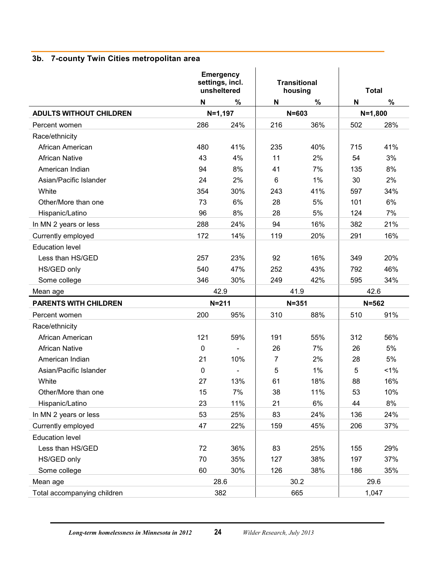## <span id="page-26-0"></span>**3b. 7-county Twin Cities metropolitan area**

|                                | <b>Emergency</b><br>settings, incl.<br>unsheltered |                          |                | <b>Transitional</b><br>housing | <b>Total</b> |             |
|--------------------------------|----------------------------------------------------|--------------------------|----------------|--------------------------------|--------------|-------------|
|                                | N                                                  | %                        | N              | $\%$                           | N            | $\%$        |
| <b>ADULTS WITHOUT CHILDREN</b> | $N=1,197$                                          |                          |                | $N = 603$                      |              | $N = 1,800$ |
| Percent women                  | 286                                                | 24%                      | 216            | 36%                            | 502          | 28%         |
| Race/ethnicity                 |                                                    |                          |                |                                |              |             |
| African American               | 480                                                | 41%                      | 235            | 40%                            | 715          | 41%         |
| <b>African Native</b>          | 43                                                 | 4%                       | 11             | 2%                             | 54           | 3%          |
| American Indian                | 94                                                 | 8%                       | 41             | 7%                             | 135          | 8%          |
| Asian/Pacific Islander         | 24                                                 | 2%                       | 6              | 1%                             | 30           | 2%          |
| White                          | 354                                                | 30%                      | 243            | 41%                            | 597          | 34%         |
| Other/More than one            | 73                                                 | 6%                       | 28             | 5%                             | 101          | 6%          |
| Hispanic/Latino                | 96                                                 | 8%                       | 28             | 5%                             | 124          | 7%          |
| In MN 2 years or less          | 288                                                | 24%                      | 94             | 16%                            | 382          | 21%         |
| Currently employed             | 172                                                | 14%                      | 119            | 20%                            | 291          | 16%         |
| <b>Education level</b>         |                                                    |                          |                |                                |              |             |
| Less than HS/GED               | 257                                                | 23%                      | 92             | 16%                            | 349          | 20%         |
| HS/GED only                    | 540                                                | 47%                      | 252            | 43%                            | 792          | 46%         |
| Some college                   | 346                                                | 30%                      | 249            | 42%                            | 595          | 34%         |
| Mean age                       |                                                    | 42.9                     |                | 41.9                           |              | 42.6        |
| <b>PARENTS WITH CHILDREN</b>   |                                                    | $N = 211$                |                | $N = 351$                      |              | $N = 562$   |
| Percent women                  | 200                                                | 95%                      | 310            | 88%                            | 510          | 91%         |
| Race/ethnicity                 |                                                    |                          |                |                                |              |             |
| African American               | 121                                                | 59%                      | 191            | 55%                            | 312          | 56%         |
| <b>African Native</b>          | 0                                                  | $\frac{1}{2}$            | 26             | 7%                             | 26           | 5%          |
| American Indian                | 21                                                 | 10%                      | $\overline{7}$ | 2%                             | 28           | 5%          |
| Asian/Pacific Islander         | $\mathbf 0$                                        | $\overline{\phantom{a}}$ | 5              | 1%                             | 5            | 1%          |
| White                          | 27                                                 | 13%                      | 61             | 18%                            | 88           | 16%         |
| Other/More than one            | 15                                                 | 7%                       | 38             | 11%                            | 53           | 10%         |
| Hispanic/Latino                | 23                                                 | 11%                      | 21             | 6%                             | 44           | 8%          |
| In MN 2 years or less          | 53                                                 | 25%                      | 83             | 24%                            | 136          | 24%         |
| Currently employed             | 47                                                 | 22%                      | 159            | 45%                            | 206          | 37%         |
| <b>Education level</b>         |                                                    |                          |                |                                |              |             |
| Less than HS/GED               | 72                                                 | 36%                      | 83             | 25%                            | 155          | 29%         |
| HS/GED only                    | 70                                                 | 35%                      | 127            | 38%                            | 197          | 37%         |
| Some college                   | 60                                                 | 30%                      | 126            | 38%                            | 186          | 35%         |
| Mean age                       |                                                    | 28.6                     |                | 30.2                           |              | 29.6        |
| Total accompanying children    | 382                                                |                          |                | 665                            |              | 1,047       |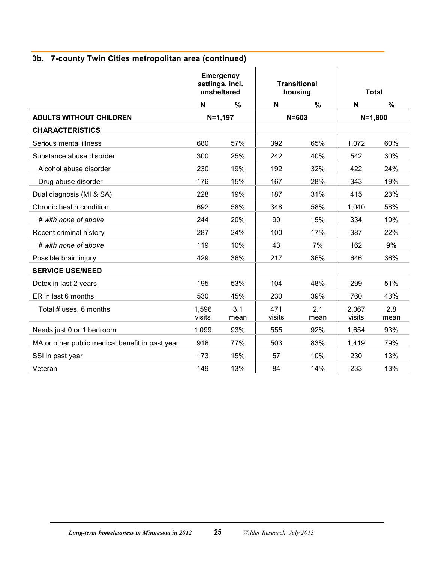|                                                 | <b>Emergency</b><br>settings, incl.<br>unsheltered |             |               | <b>Transitional</b><br>housing |                 | <b>Total</b> |  |
|-------------------------------------------------|----------------------------------------------------|-------------|---------------|--------------------------------|-----------------|--------------|--|
|                                                 | N                                                  | $\%$        | N             | $\%$                           | N               | $\%$         |  |
| <b>ADULTS WITHOUT CHILDREN</b>                  | $N=1,197$                                          |             |               | $N = 603$                      | $N = 1,800$     |              |  |
| <b>CHARACTERISTICS</b>                          |                                                    |             |               |                                |                 |              |  |
| Serious mental illness                          | 680                                                | 57%         | 392           | 65%                            | 1,072           | 60%          |  |
| Substance abuse disorder                        | 300                                                | 25%         | 242           | 40%                            | 542             | 30%          |  |
| Alcohol abuse disorder                          | 230                                                | 19%         | 192           | 32%                            | 422             | 24%          |  |
| Drug abuse disorder                             | 176                                                | 15%         | 167           | 28%                            | 343             | 19%          |  |
| Dual diagnosis (MI & SA)                        | 228                                                | 19%         | 187           | 31%                            | 415             | 23%          |  |
| Chronic health condition                        | 692                                                | 58%         | 348           | 58%                            | 1,040           | 58%          |  |
| # with none of above                            | 244                                                | 20%         | 90            | 15%                            | 334             | 19%          |  |
| Recent criminal history                         | 287                                                | 24%         | 100           | 17%                            | 387             | 22%          |  |
| # with none of above                            | 119                                                | 10%         | 43            | 7%                             | 162             | 9%           |  |
| Possible brain injury                           | 429                                                | 36%         | 217           | 36%                            | 646             | 36%          |  |
| <b>SERVICE USE/NEED</b>                         |                                                    |             |               |                                |                 |              |  |
| Detox in last 2 years                           | 195                                                | 53%         | 104           | 48%                            | 299             | 51%          |  |
| ER in last 6 months                             | 530                                                | 45%         | 230           | 39%                            | 760             | 43%          |  |
| Total # uses, 6 months                          | 1,596<br>visits                                    | 3.1<br>mean | 471<br>visits | 2.1<br>mean                    | 2,067<br>visits | 2.8<br>mean  |  |
| Needs just 0 or 1 bedroom                       | 1,099                                              | 93%         | 555           | 92%                            | 1,654           | 93%          |  |
| MA or other public medical benefit in past year | 916                                                | 77%         | 503           | 83%                            | 1,419           | 79%          |  |
| SSI in past year                                | 173                                                | 15%         | 57            | 10%                            | 230             | 13%          |  |
| Veteran                                         | 149                                                | 13%         | 84            | 14%                            | 233             | 13%          |  |

## **3b. 7-county Twin Cities metropolitan area (continued)**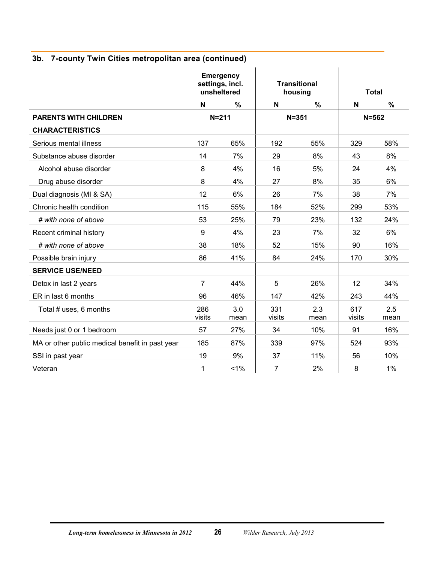|  |  | 3b. 7-county Twin Cities metropolitan area (continued) |  |
|--|--|--------------------------------------------------------|--|
|--|--|--------------------------------------------------------|--|

|                                                 | <b>Emergency</b><br>settings, incl.<br>unsheltered |             |                | <b>Transitional</b><br>housing |               | <b>Total</b> |
|-------------------------------------------------|----------------------------------------------------|-------------|----------------|--------------------------------|---------------|--------------|
|                                                 | N                                                  | %           | N              | $\%$                           | N             | $\%$         |
| <b>PARENTS WITH CHILDREN</b>                    | $N = 211$                                          |             |                | $N = 351$                      |               | $N = 562$    |
| <b>CHARACTERISTICS</b>                          |                                                    |             |                |                                |               |              |
| Serious mental illness                          | 137                                                | 65%         | 192            | 55%                            | 329           | 58%          |
| Substance abuse disorder                        | 14                                                 | 7%          | 29             | 8%                             | 43            | 8%           |
| Alcohol abuse disorder                          | 8                                                  | 4%          | 16             | 5%                             | 24            | 4%           |
| Drug abuse disorder                             | 8                                                  | 4%          | 27             | 8%                             | 35            | 6%           |
| Dual diagnosis (MI & SA)                        | 12                                                 | 6%          | 26             | 7%                             | 38            | 7%           |
| Chronic health condition                        | 115                                                | 55%         | 184            | 52%                            | 299           | 53%          |
| # with none of above                            | 53                                                 | 25%         | 79             | 23%                            | 132           | 24%          |
| Recent criminal history                         | $\boldsymbol{9}$                                   | 4%          | 23             | 7%                             | 32            | 6%           |
| # with none of above                            | 38                                                 | 18%         | 52             | 15%                            | 90            | 16%          |
| Possible brain injury                           | 86                                                 | 41%         | 84             | 24%                            | 170           | 30%          |
| <b>SERVICE USE/NEED</b>                         |                                                    |             |                |                                |               |              |
| Detox in last 2 years                           | $\overline{7}$                                     | 44%         | 5              | 26%                            | 12            | 34%          |
| ER in last 6 months                             | 96                                                 | 46%         | 147            | 42%                            | 243           | 44%          |
| Total # uses, 6 months                          | 286<br>visits                                      | 3.0<br>mean | 331<br>visits  | 2.3<br>mean                    | 617<br>visits | 2.5<br>mean  |
| Needs just 0 or 1 bedroom                       | 57                                                 | 27%         | 34             | 10%                            | 91            | 16%          |
| MA or other public medical benefit in past year | 185                                                | 87%         | 339            | 97%                            | 524           | 93%          |
| SSI in past year                                | 19                                                 | 9%          | 37             | 11%                            | 56            | 10%          |
| Veteran                                         | 1                                                  | 1%          | $\overline{7}$ | 2%                             | 8             | 1%           |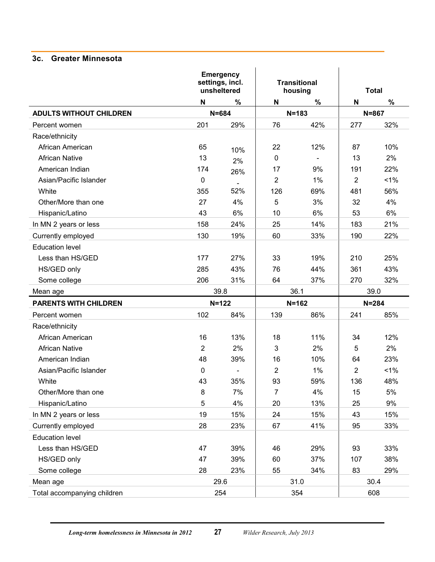#### <span id="page-29-0"></span>**3c. Greater Minnesota**

|                                | <b>Emergency</b><br>settings, incl.<br>unsheltered |           |                | <b>Transitional</b><br>housing | <b>Total</b> |       |  |
|--------------------------------|----------------------------------------------------|-----------|----------------|--------------------------------|--------------|-------|--|
|                                | N                                                  | $\%$      | N              | $\%$                           | N            | $\%$  |  |
| <b>ADULTS WITHOUT CHILDREN</b> | $N = 684$                                          |           |                | $N = 183$                      | $N = 867$    |       |  |
| Percent women                  | 201                                                | 29%       | 76             | 42%                            | 277          | 32%   |  |
| Race/ethnicity                 |                                                    |           |                |                                |              |       |  |
| African American               | 65                                                 | 10%       | 22             | 12%                            | 87           | 10%   |  |
| <b>African Native</b>          | 13                                                 | 2%        | $\mathbf 0$    | $\sim$                         | 13           | 2%    |  |
| American Indian                | 174                                                | 26%       | 17             | 9%                             | 191          | 22%   |  |
| Asian/Pacific Islander         | 0                                                  |           | $\overline{2}$ | 1%                             | 2            | $1\%$ |  |
| White                          | 355                                                | 52%       | 126            | 69%                            | 481          | 56%   |  |
| Other/More than one            | 27                                                 | 4%        | 5              | 3%                             | 32           | 4%    |  |
| Hispanic/Latino                | 43                                                 | 6%        | 10             | 6%                             | 53           | 6%    |  |
| In MN 2 years or less          | 158                                                | 24%       | 25             | 14%                            | 183          | 21%   |  |
| Currently employed             | 130                                                | 19%       | 60             | 33%                            | 190          | 22%   |  |
| <b>Education level</b>         |                                                    |           |                |                                |              |       |  |
| Less than HS/GED               | 177                                                | 27%       | 33             | 19%                            | 210          | 25%   |  |
| HS/GED only                    | 285                                                | 43%       | 76             | 44%                            | 361          | 43%   |  |
| Some college                   | 206                                                | 31%       | 64             | 37%                            | 270          | 32%   |  |
| Mean age                       | 39.8                                               |           |                | 36.1                           |              | 39.0  |  |
| <b>PARENTS WITH CHILDREN</b>   |                                                    | $N = 122$ |                | $N = 162$                      | $N = 284$    |       |  |
| Percent women                  | 102                                                | 84%       | 139            | 86%                            | 241          | 85%   |  |
| Race/ethnicity                 |                                                    |           |                |                                |              |       |  |
| African American               | 16                                                 | 13%       | 18             | 11%                            | 34           | 12%   |  |
| <b>African Native</b>          | $\overline{2}$                                     | 2%        | 3              | 2%                             | 5            | 2%    |  |
| American Indian                | 48                                                 | 39%       | 16             | 10%                            | 64           | 23%   |  |
| Asian/Pacific Islander         | 0                                                  |           | 2              | 1%                             | 2            | 1%    |  |
| White                          | 43                                                 | 35%       | 93             | 59%                            | 136          | 48%   |  |
| Other/More than one            | 8                                                  | 7%        | $\overline{7}$ | 4%                             | 15           | 5%    |  |
| Hispanic/Latino                | 5                                                  | 4%        | 20             | 13%                            | 25           | 9%    |  |
| In MN 2 years or less          | 19                                                 | 15%       | 24             | 15%                            | 43           | 15%   |  |
| Currently employed             | 28                                                 | 23%       | 67             | 41%                            | 95           | 33%   |  |
| <b>Education level</b>         |                                                    |           |                |                                |              |       |  |
| Less than HS/GED               | 47                                                 | 39%       | 46             | 29%                            | 93           | 33%   |  |
| HS/GED only                    | 47                                                 | 39%       | 60             | 37%                            | 107          | 38%   |  |
| Some college                   | 28                                                 | 23%       | 55             | 34%                            | 83           | 29%   |  |
| Mean age                       |                                                    | 29.6      |                | 31.0                           |              | 30.4  |  |
| Total accompanying children    |                                                    | 254       |                | 354                            |              | 608   |  |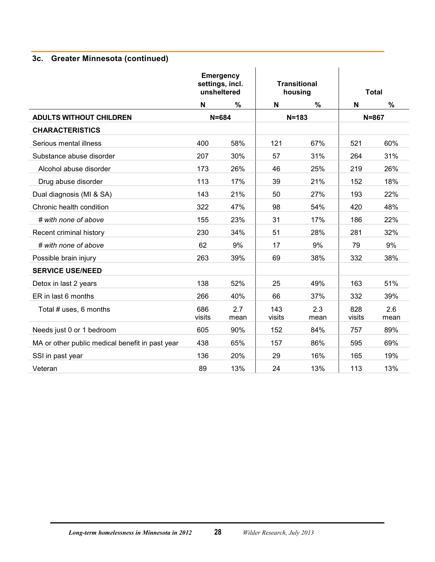## **3c. Greater Minnesota (continued)**

|                                                 | <b>Emergency</b><br>settings, incl.<br>unsheltered |             |               | <b>Transitional</b><br>housing |               | <b>Total</b> |
|-------------------------------------------------|----------------------------------------------------|-------------|---------------|--------------------------------|---------------|--------------|
|                                                 | N                                                  | %           | N             | $\%$                           | N             | $\%$         |
| <b>ADULTS WITHOUT CHILDREN</b>                  |                                                    | $N = 684$   |               | $N = 183$                      |               | $N = 867$    |
| <b>CHARACTERISTICS</b>                          |                                                    |             |               |                                |               |              |
| Serious mental illness                          | 400                                                | 58%         | 121           | 67%                            | 521           | 60%          |
| Substance abuse disorder                        | 207                                                | 30%         | 57            | 31%                            | 264           | 31%          |
| Alcohol abuse disorder                          | 173                                                | 26%         | 46            | 25%                            | 219           | 26%          |
| Drug abuse disorder                             | 113                                                | 17%         | 39            | 21%                            | 152           | 18%          |
| Dual diagnosis (MI & SA)                        | 143                                                | 21%         | 50            | 27%                            | 193           | 22%          |
| Chronic health condition                        | 322                                                | 47%         | 98            | 54%                            | 420           | 48%          |
| # with none of above                            | 155                                                | 23%         | 31            | 17%                            | 186           | 22%          |
| Recent criminal history                         | 230                                                | 34%         | 51            | 28%                            | 281           | 32%          |
| # with none of above                            | 62                                                 | 9%          | 17            | 9%                             | 79            | 9%           |
| Possible brain injury                           | 263                                                | 39%         | 69            | 38%                            | 332           | 38%          |
| <b>SERVICE USE/NEED</b>                         |                                                    |             |               |                                |               |              |
| Detox in last 2 years                           | 138                                                | 52%         | 25            | 49%                            | 163           | 51%          |
| ER in last 6 months                             | 266                                                | 40%         | 66            | 37%                            | 332           | 39%          |
| Total # uses, 6 months                          | 686<br>visits                                      | 2.7<br>mean | 143<br>visits | 2.3<br>mean                    | 828<br>visits | 2.6<br>mean  |
| Needs just 0 or 1 bedroom                       | 605                                                | 90%         | 152           | 84%                            | 757           | 89%          |
| MA or other public medical benefit in past year | 438                                                | 65%         | 157           | 86%                            | 595           | 69%          |
| SSI in past year                                | 136                                                | 20%         | 29            | 16%                            | 165           | 19%          |
| Veteran                                         | 89                                                 | 13%         | 24            | 13%                            | 113           | 13%          |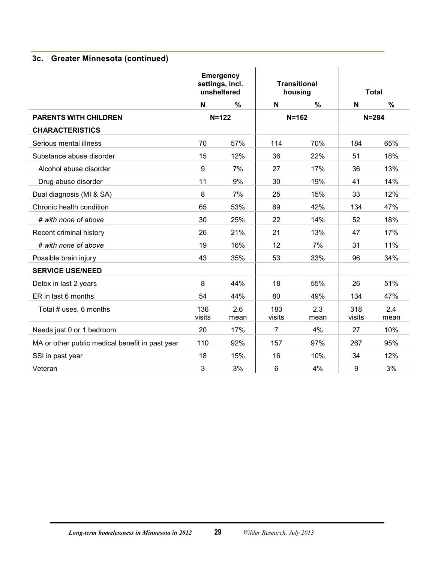## **3c. Greater Minnesota (continued)**

|                                                 | <b>Emergency</b><br>settings, incl.<br>unsheltered |             |                | <b>Transitional</b><br>housing |                  | <b>Total</b> |
|-------------------------------------------------|----------------------------------------------------|-------------|----------------|--------------------------------|------------------|--------------|
|                                                 | N                                                  | %           | $\mathsf{N}$   | $\%$                           | N                | $\%$         |
| <b>PARENTS WITH CHILDREN</b>                    |                                                    | $N = 122$   |                | $N = 162$                      |                  | $N = 284$    |
| <b>CHARACTERISTICS</b>                          |                                                    |             |                |                                |                  |              |
| Serious mental illness                          | 70                                                 | 57%         | 114            | 70%                            | 184              | 65%          |
| Substance abuse disorder                        | 15                                                 | 12%         | 36             | 22%                            | 51               | 18%          |
| Alcohol abuse disorder                          | 9                                                  | 7%          | 27             | 17%                            | 36               | 13%          |
| Drug abuse disorder                             | 11                                                 | 9%          | 30             | 19%                            | 41               | 14%          |
| Dual diagnosis (MI & SA)                        | 8                                                  | 7%          | 25             | 15%                            | 33               | 12%          |
| Chronic health condition                        | 65                                                 | 53%         | 69             | 42%                            | 134              | 47%          |
| # with none of above                            | 30                                                 | 25%         | 22             | 14%                            | 52               | 18%          |
| Recent criminal history                         | 26                                                 | 21%         | 21             | 13%                            | 47               | 17%          |
| # with none of above                            | 19                                                 | 16%         | 12             | 7%                             | 31               | 11%          |
| Possible brain injury                           | 43                                                 | 35%         | 53             | 33%                            | 96               | 34%          |
| <b>SERVICE USE/NEED</b>                         |                                                    |             |                |                                |                  |              |
| Detox in last 2 years                           | 8                                                  | 44%         | 18             | 55%                            | 26               | 51%          |
| ER in last 6 months                             | 54                                                 | 44%         | 80             | 49%                            | 134              | 47%          |
| Total # uses, 6 months                          | 136<br>visits                                      | 2.6<br>mean | 183<br>visits  | 2.3<br>mean                    | 318<br>visits    | 2.4<br>mean  |
| Needs just 0 or 1 bedroom                       | 20                                                 | 17%         | $\overline{7}$ | 4%                             | 27               | 10%          |
| MA or other public medical benefit in past year | 110                                                | 92%         | 157            | 97%                            | 267              | 95%          |
| SSI in past year                                | 18                                                 | 15%         | 16             | 10%                            | 34               | 12%          |
| Veteran                                         | 3                                                  | 3%          | 6              | 4%                             | $\boldsymbol{9}$ | 3%           |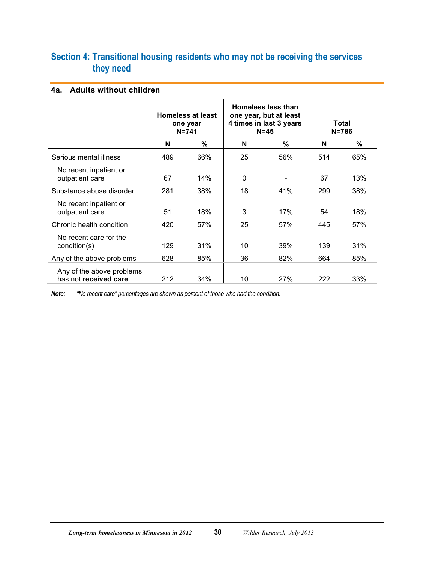## <span id="page-32-0"></span>**Section 4: Transitional housing residents who may not be receiving the services they need**

#### <span id="page-32-1"></span>**4a. Adults without children**

|                                                    | <b>Homeless at least</b><br>one year<br>$N = 741$ |     |    | Homeless less than<br>one year, but at least<br>4 times in last 3 years<br>$N = 45$ | Total<br>$N = 786$ |     |
|----------------------------------------------------|---------------------------------------------------|-----|----|-------------------------------------------------------------------------------------|--------------------|-----|
|                                                    | N                                                 | %   | N  | %                                                                                   | N                  | %   |
| Serious mental illness                             | 489                                               | 66% | 25 | 56%                                                                                 | 514                | 65% |
| No recent inpatient or<br>outpatient care          | 67                                                | 14% | 0  |                                                                                     | 67                 | 13% |
| Substance abuse disorder                           | 281                                               | 38% | 18 | 41%                                                                                 | 299                | 38% |
| No recent inpatient or<br>outpatient care          | 51                                                | 18% | 3  | 17%                                                                                 | 54                 | 18% |
| Chronic health condition                           | 420                                               | 57% | 25 | 57%                                                                                 | 445                | 57% |
| No recent care for the<br>condition(s)             | 129                                               | 31% | 10 | 39%                                                                                 | 139                | 31% |
| Any of the above problems                          | 628                                               | 85% | 36 | 82%                                                                                 | 664                | 85% |
| Any of the above problems<br>has not received care | 212                                               | 34% | 10 | 27%                                                                                 | 222                | 33% |

*Note: "No recent care" percentages are shown as percent of those who had the condition.*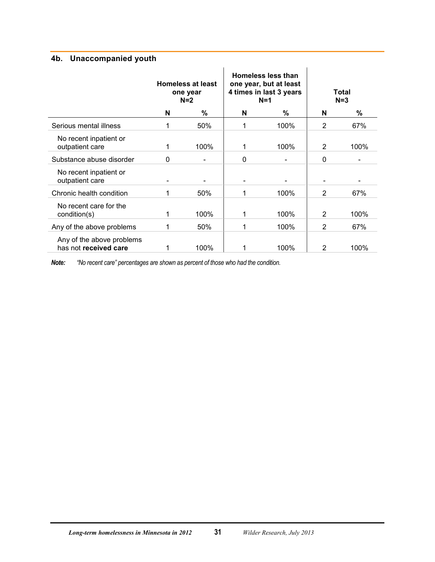#### <span id="page-33-0"></span>**4b. Unaccompanied youth**

|                                                    |   | <b>Homeless at least</b><br>one year<br>$N=2$ | Homeless less than<br>one year, but at least<br>4 times in last 3 years<br>$N=1$ |      | Total<br>$N=3$ |      |
|----------------------------------------------------|---|-----------------------------------------------|----------------------------------------------------------------------------------|------|----------------|------|
|                                                    | N | $\%$                                          | N                                                                                | %    | N              | %    |
| Serious mental illness                             | 1 | 50%                                           | 1                                                                                | 100% | $\overline{2}$ | 67%  |
| No recent inpatient or<br>outpatient care          | 1 | 100%                                          | 1                                                                                | 100% | 2              | 100% |
| Substance abuse disorder                           | 0 |                                               | 0                                                                                |      | 0              |      |
| No recent inpatient or<br>outpatient care          | - |                                               | $\overline{\phantom{a}}$                                                         |      |                |      |
| Chronic health condition                           |   | 50%                                           | 1                                                                                | 100% | $\overline{2}$ | 67%  |
| No recent care for the<br>condition(s)             | 1 | 100%                                          | 1                                                                                | 100% | 2              | 100% |
| Any of the above problems                          |   | 50%                                           | 1                                                                                | 100% | $\overline{2}$ | 67%  |
| Any of the above problems<br>has not received care |   | 100%                                          |                                                                                  | 100% | 2              | 100% |

*Note: "No recent care" percentages are shown as percent of those who had the condition.*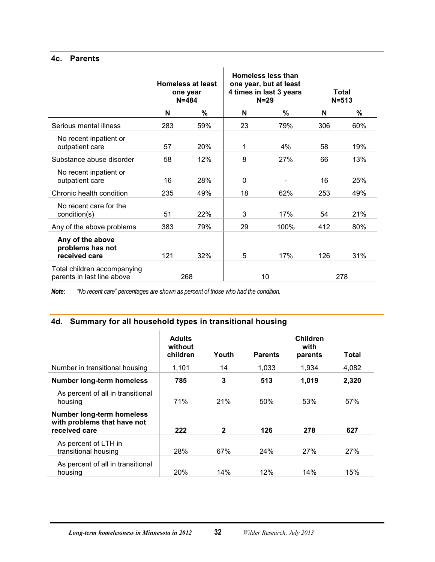#### <span id="page-34-0"></span>**4c. Parents**

|                                                           |     | <b>Homeless at least</b><br>one year<br>$N = 484$ |              | Homeless less than<br>one year, but at least<br>4 times in last 3 years<br>$N = 29$ |     | Total<br>$N = 513$ |
|-----------------------------------------------------------|-----|---------------------------------------------------|--------------|-------------------------------------------------------------------------------------|-----|--------------------|
|                                                           | N   | %                                                 | N            | %                                                                                   | N   | $\%$               |
| Serious mental illness                                    | 283 | 59%                                               | 23           | 79%                                                                                 | 306 | 60%                |
| No recent inpatient or<br>outpatient care                 | 57  | 20%                                               | 1            | 4%                                                                                  | 58  | 19%                |
| Substance abuse disorder                                  | 58  | 12%                                               | 8            | 27%                                                                                 | 66  | 13%                |
| No recent inpatient or<br>outpatient care                 | 16  | 28%                                               | $\mathbf{0}$ |                                                                                     | 16  | 25%                |
| Chronic health condition                                  | 235 | 49%                                               | 18           | 62%                                                                                 | 253 | 49%                |
| No recent care for the<br>condition(s)                    | 51  | 22%                                               | 3            | 17%                                                                                 | 54  | 21%                |
| Any of the above problems                                 | 383 | 79%                                               | 29           | 100%                                                                                | 412 | 80%                |
| Any of the above<br>problems has not<br>received care     | 121 | 32%                                               | 5            | 17%                                                                                 | 126 | 31%                |
| Total children accompanying<br>parents in last line above |     | 268                                               |              | 10 <sup>1</sup>                                                                     |     | 278                |

*Note: "No recent care" percentages are shown as percent of those who had the condition.*

## <span id="page-34-1"></span>**4d. Summary for all household types in transitional housing**

|                                                                                  | <b>Adults</b><br>without<br>children | Youth        | <b>Parents</b> | Children<br>with<br>parents | Total |
|----------------------------------------------------------------------------------|--------------------------------------|--------------|----------------|-----------------------------|-------|
| Number in transitional housing                                                   | 1,101                                | 14           | 1,033          | 1,934                       | 4,082 |
| <b>Number long-term homeless</b>                                                 | 785                                  | 3            | 513            | 1,019                       | 2,320 |
| As percent of all in transitional<br>housing                                     | 71%                                  | 21%          | 50%            | 53%                         | 57%   |
| <b>Number long-term homeless</b><br>with problems that have not<br>received care | 222                                  | $\mathbf{2}$ | 126            | 278                         | 627   |
| As percent of LTH in<br>transitional housing                                     | 28%                                  | 67%          | 24%            | 27%                         | 27%   |
| As percent of all in transitional<br>housing                                     | 20%                                  | 14%          | 12%            | 14%                         | 15%   |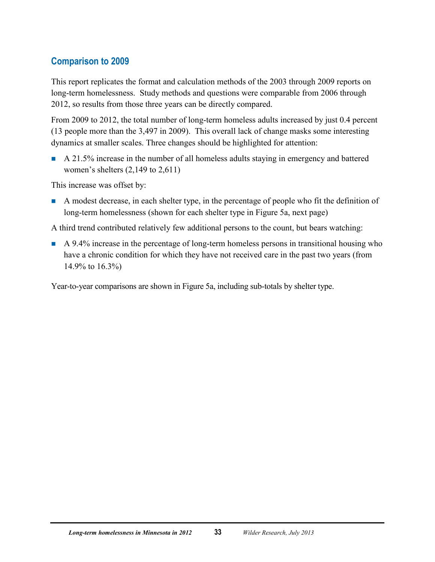## <span id="page-35-0"></span>**Comparison to 2009**

This report replicates the format and calculation methods of the 2003 through 2009 reports on long-term homelessness. Study methods and questions were comparable from 2006 through 2012, so results from those three years can be directly compared.

From 2009 to 2012, the total number of long-term homeless adults increased by just 0.4 percent (13 people more than the 3,497 in 2009). This overall lack of change masks some interesting dynamics at smaller scales. Three changes should be highlighted for attention:

A 21.5% increase in the number of all homeless adults staying in emergency and battered women's shelters (2,149 to 2,611)

This increase was offset by:

A modest decrease, in each shelter type, in the percentage of people who fit the definition of long-term homelessness (shown for each shelter type in Figure 5a, next page)

A third trend contributed relatively few additional persons to the count, but bears watching:

A 9.4% increase in the percentage of long-term homeless persons in transitional housing who have a chronic condition for which they have not received care in the past two years (from 14.9% to 16.3%)

Year-to-year comparisons are shown in Figure 5a, including sub-totals by shelter type.